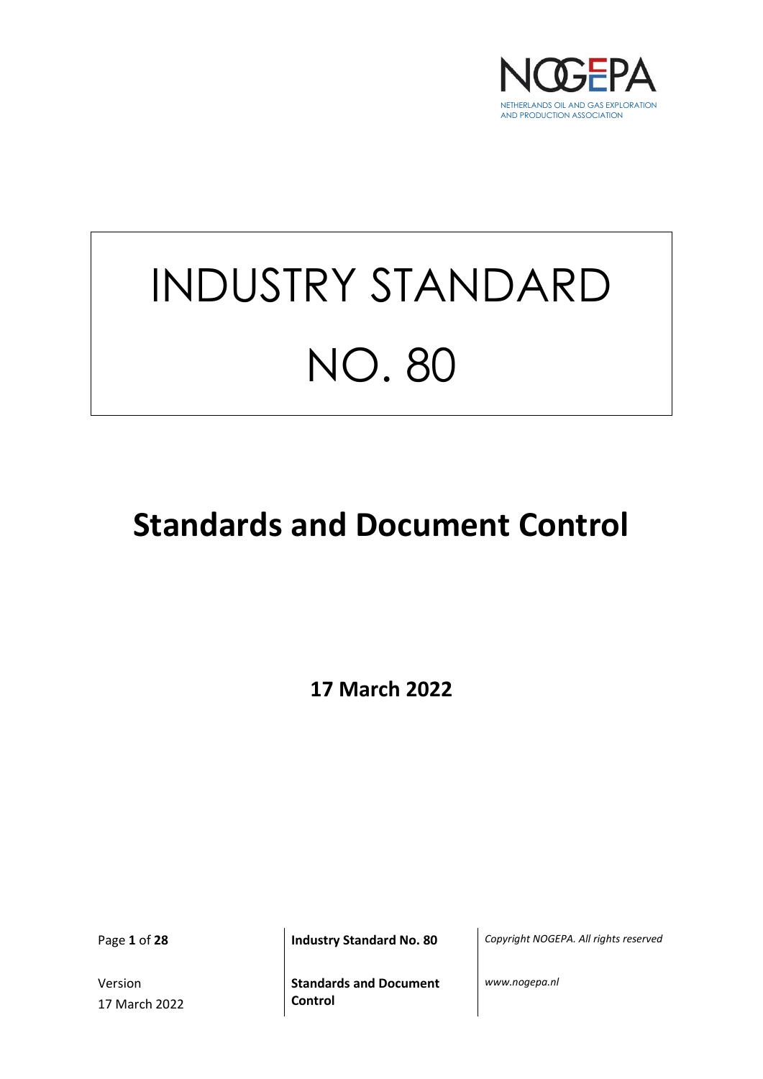

# INDUSTRY STANDARD NO. 80

## **Standards and Document Control**

**17 March 2022**

Version 17 March 2022

Page **1** of **28 Industry Standard No. 80** *Copyright NOGEPA. All rights reserved*

**Standards and Document Control**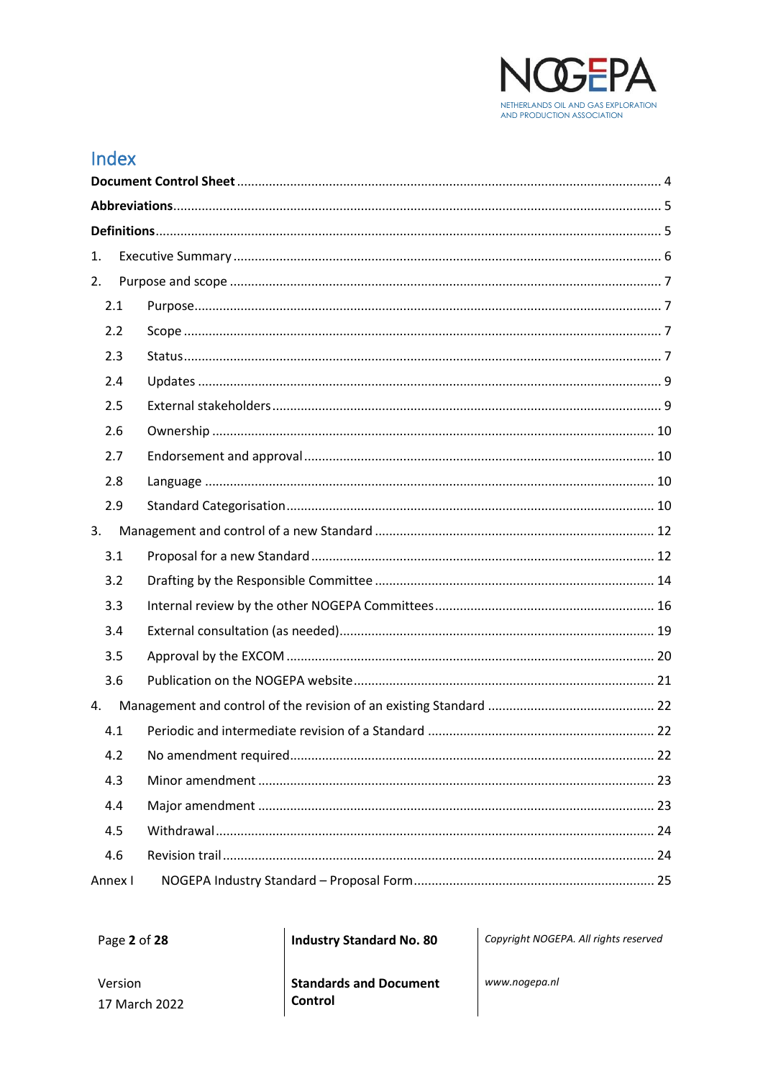

## Index

| 1.      |  |  |  |
|---------|--|--|--|
| 2.      |  |  |  |
| 2.1     |  |  |  |
| 2.2     |  |  |  |
| 2.3     |  |  |  |
| 2.4     |  |  |  |
| 2.5     |  |  |  |
| 2.6     |  |  |  |
| 2.7     |  |  |  |
| 2.8     |  |  |  |
| 2.9     |  |  |  |
| 3.      |  |  |  |
| 3.1     |  |  |  |
| 3.2     |  |  |  |
| 3.3     |  |  |  |
| 3.4     |  |  |  |
| 3.5     |  |  |  |
| 3.6     |  |  |  |
| 4.      |  |  |  |
| 4.1     |  |  |  |
| 4.2     |  |  |  |
| 4.3     |  |  |  |
| 4.4     |  |  |  |
| 4.5     |  |  |  |
| 4.6     |  |  |  |
| Annex I |  |  |  |

Page 2 of 28

**Industry Standard No. 80** 

Copyright NOGEPA. All rights reserved

Version 17 March 2022 **Standards and Document** Control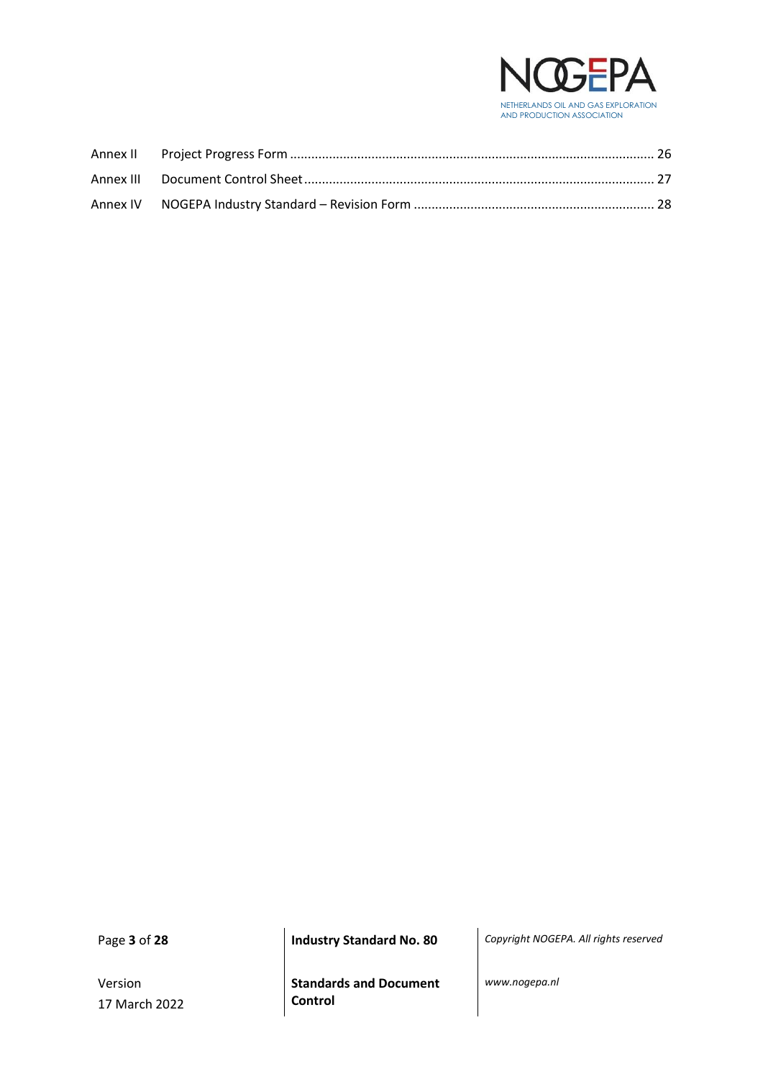

Version 17 March 2022

**Standards and Document Control**

Page **3** of **28 Industry Standard No. 80** *Copyright NOGEPA. All rights reserved*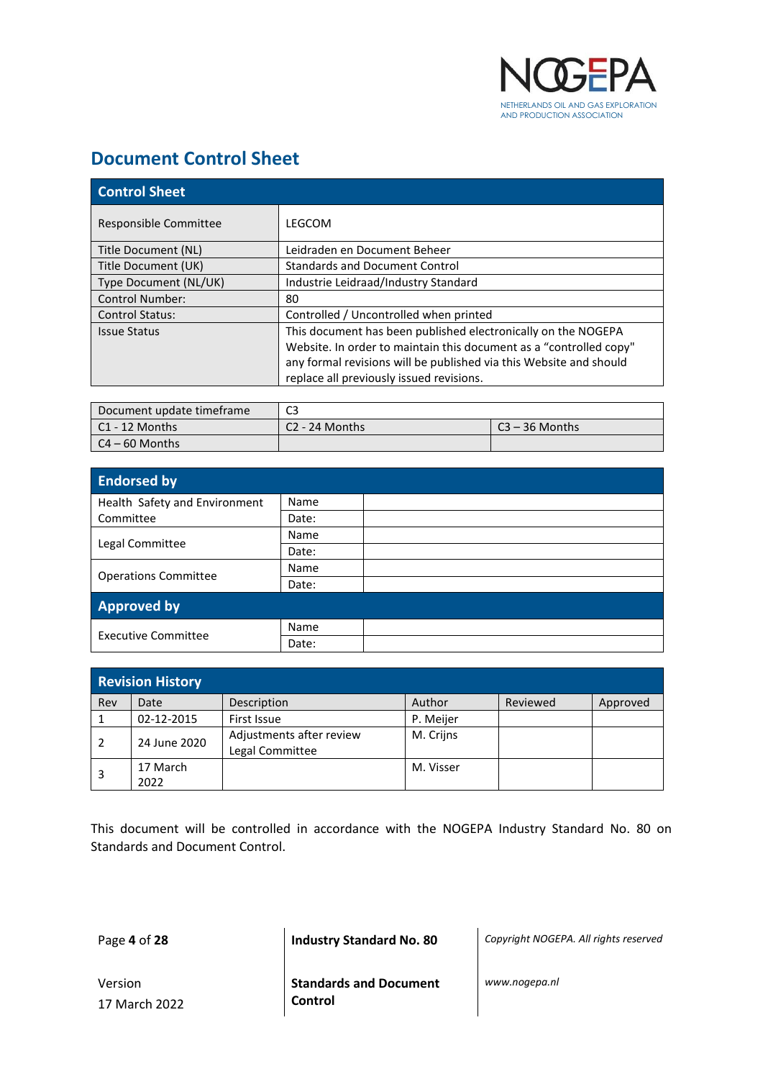

## <span id="page-3-0"></span>**Document Control Sheet**

| <b>Control Sheet</b>   |                                                                    |  |  |
|------------------------|--------------------------------------------------------------------|--|--|
| Responsible Committee  | LEGCOM                                                             |  |  |
| Title Document (NL)    | Leidraden en Document Beheer                                       |  |  |
| Title Document (UK)    | <b>Standards and Document Control</b>                              |  |  |
| Type Document (NL/UK)  | Industrie Leidraad/Industry Standard                               |  |  |
| <b>Control Number:</b> | 80                                                                 |  |  |
| <b>Control Status:</b> | Controlled / Uncontrolled when printed                             |  |  |
| <b>Issue Status</b>    | This document has been published electronically on the NOGEPA      |  |  |
|                        | Website. In order to maintain this document as a "controlled copy" |  |  |
|                        | any formal revisions will be published via this Website and should |  |  |
|                        | replace all previously issued revisions.                           |  |  |

| Document update timeframe | C3               |                  |
|---------------------------|------------------|------------------|
| l C1 - 12 Months          | $C2 - 24$ Months | $C3 - 36$ Months |
| $\mid$ C4 – 60 Months     |                  |                  |

| <b>Endorsed by</b>            |       |  |  |
|-------------------------------|-------|--|--|
| Health Safety and Environment | Name  |  |  |
| Committee                     | Date: |  |  |
|                               | Name  |  |  |
| Legal Committee               | Date: |  |  |
|                               | Name  |  |  |
| <b>Operations Committee</b>   | Date: |  |  |
| <b>Approved by</b>            |       |  |  |
| <b>Executive Committee</b>    | Name  |  |  |
|                               | Date: |  |  |

| <b>Revision History</b> |                  |                                             |           |          |          |
|-------------------------|------------------|---------------------------------------------|-----------|----------|----------|
| Rev                     | Date             | Description                                 | Author    | Reviewed | Approved |
|                         | 02-12-2015       | First Issue                                 | P. Meijer |          |          |
|                         | 24 June 2020     | Adjustments after review<br>Legal Committee | M. Crijns |          |          |
| 3                       | 17 March<br>2022 |                                             | M. Visser |          |          |

This document will be controlled in accordance with the NOGEPA Industry Standard No. 80 on Standards and Document Control.

Page **4** of **28 Industry Standard No. 80** *Copyright NOGEPA. All rights reserved*

Version 17 March 2022 **Standards and Document Control**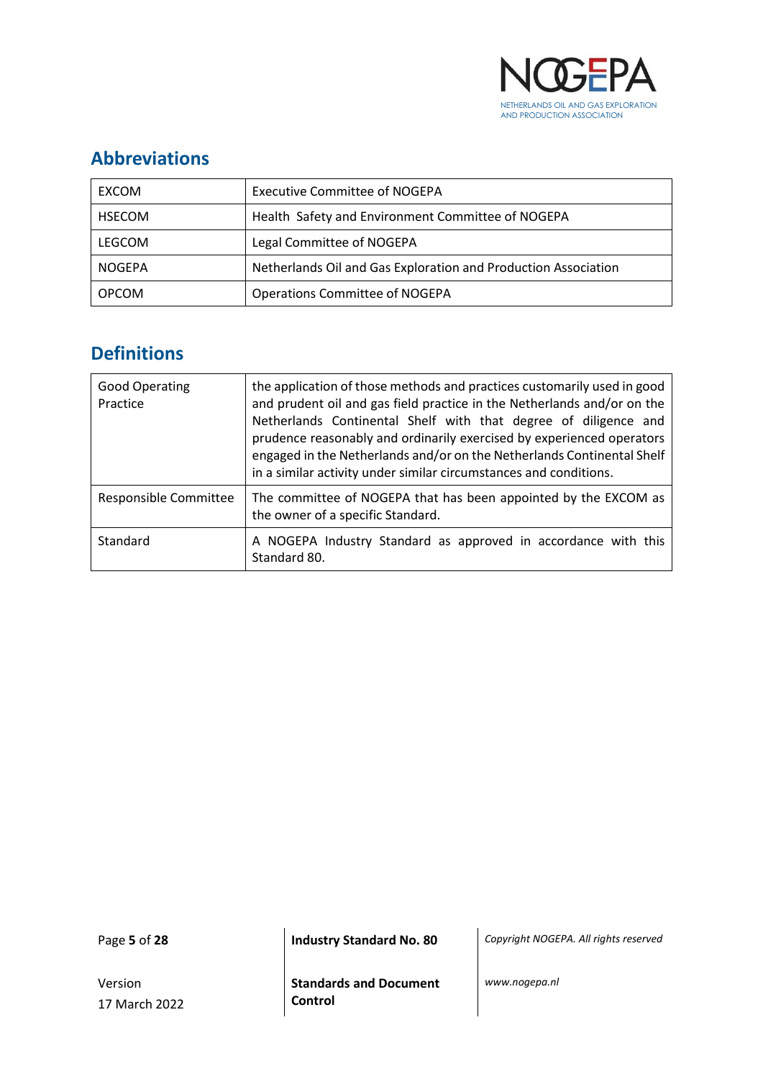

## <span id="page-4-0"></span>**Abbreviations**

| EXCOM         | <b>Executive Committee of NOGEPA</b>                           |
|---------------|----------------------------------------------------------------|
| <b>HSECOM</b> | Health Safety and Environment Committee of NOGEPA              |
| LEGCOM        | Legal Committee of NOGEPA                                      |
| <b>NOGEPA</b> | Netherlands Oil and Gas Exploration and Production Association |
| <b>OPCOM</b>  | <b>Operations Committee of NOGEPA</b>                          |

## <span id="page-4-1"></span>**Definitions**

| <b>Good Operating</b><br>Practice | the application of those methods and practices customarily used in good<br>and prudent oil and gas field practice in the Netherlands and/or on the<br>Netherlands Continental Shelf with that degree of diligence and<br>prudence reasonably and ordinarily exercised by experienced operators<br>engaged in the Netherlands and/or on the Netherlands Continental Shelf<br>in a similar activity under similar circumstances and conditions. |  |
|-----------------------------------|-----------------------------------------------------------------------------------------------------------------------------------------------------------------------------------------------------------------------------------------------------------------------------------------------------------------------------------------------------------------------------------------------------------------------------------------------|--|
| Responsible Committee             | The committee of NOGEPA that has been appointed by the EXCOM as<br>the owner of a specific Standard.                                                                                                                                                                                                                                                                                                                                          |  |
| Standard                          | A NOGEPA Industry Standard as approved in accordance with this<br>Standard 80.                                                                                                                                                                                                                                                                                                                                                                |  |

Version 17 March 2022

Page **5** of **28 Industry Standard No. 80** *Copyright NOGEPA. All rights reserved*

**Standards and Document Control**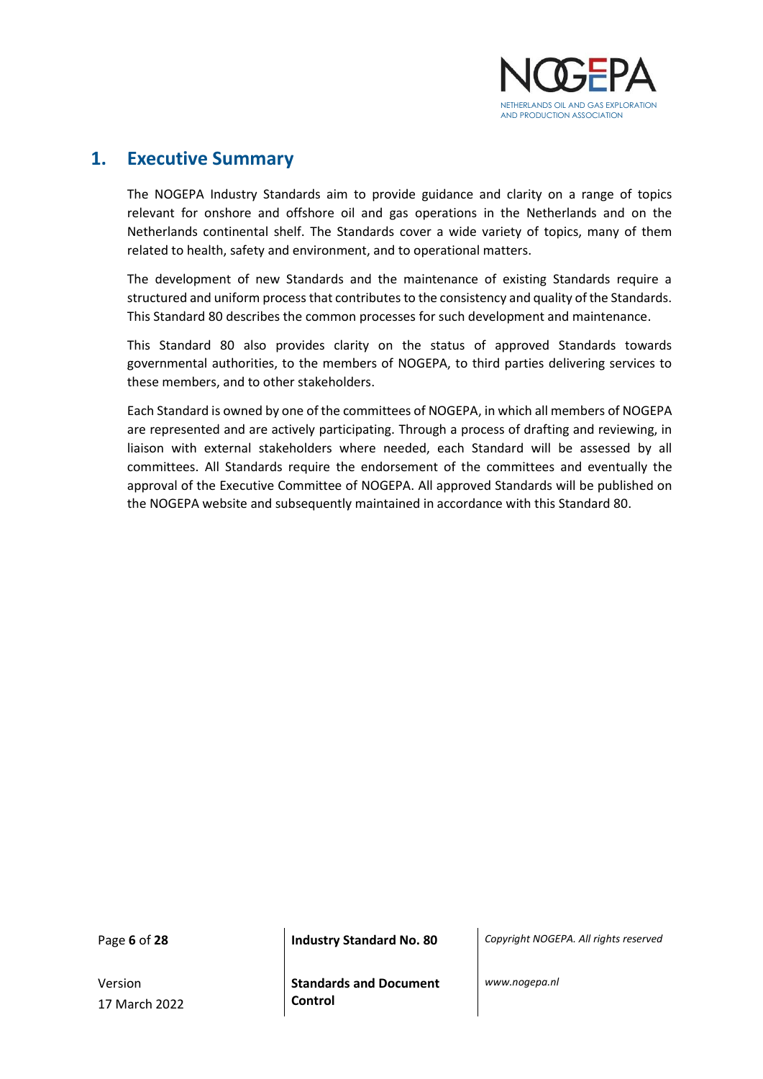

### <span id="page-5-0"></span>**1. Executive Summary**

The NOGEPA Industry Standards aim to provide guidance and clarity on a range of topics relevant for onshore and offshore oil and gas operations in the Netherlands and on the Netherlands continental shelf. The Standards cover a wide variety of topics, many of them related to health, safety and environment, and to operational matters.

The development of new Standards and the maintenance of existing Standards require a structured and uniform process that contributes to the consistency and quality of the Standards. This Standard 80 describes the common processes for such development and maintenance.

This Standard 80 also provides clarity on the status of approved Standards towards governmental authorities, to the members of NOGEPA, to third parties delivering services to these members, and to other stakeholders.

Each Standard is owned by one of the committees of NOGEPA, in which all members of NOGEPA are represented and are actively participating. Through a process of drafting and reviewing, in liaison with external stakeholders where needed, each Standard will be assessed by all committees. All Standards require the endorsement of the committees and eventually the approval of the Executive Committee of NOGEPA. All approved Standards will be published on the NOGEPA website and subsequently maintained in accordance with this Standard 80.

Version 17 March 2022

Page **6** of **28 Industry Standard No. 80** *Copyright NOGEPA. All rights reserved*

**Standards and Document Control**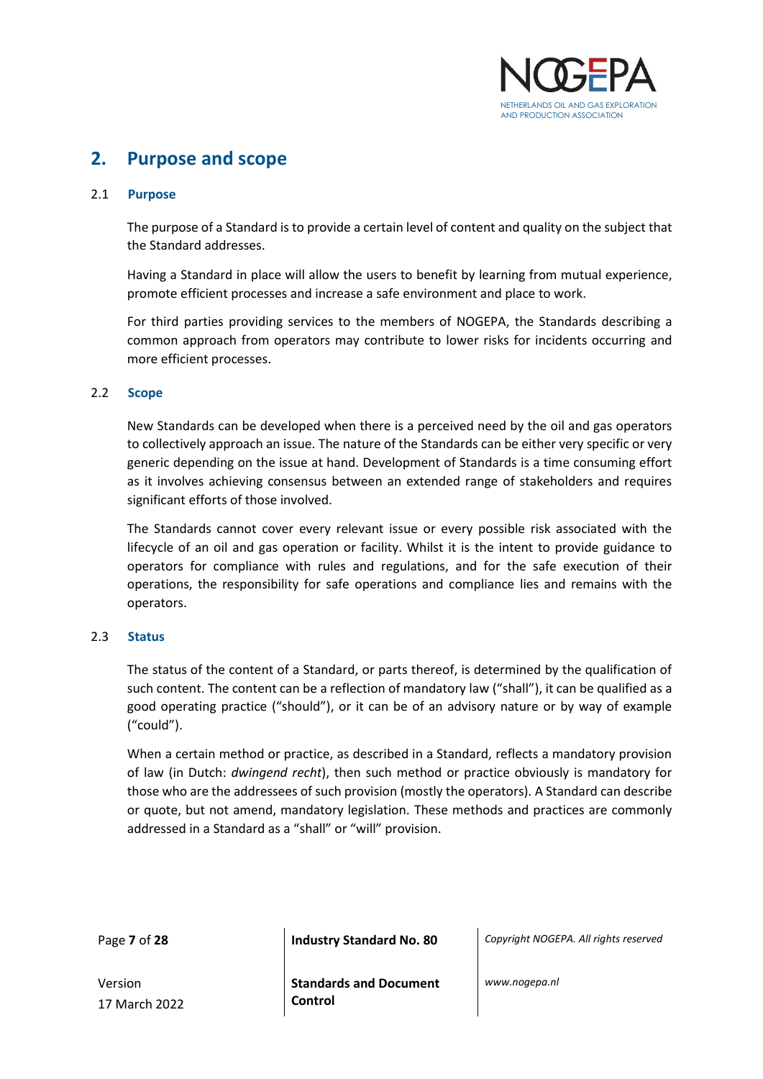

## <span id="page-6-0"></span>**2. Purpose and scope**

#### <span id="page-6-1"></span>2.1 **Purpose**

The purpose of a Standard is to provide a certain level of content and quality on the subject that the Standard addresses.

Having a Standard in place will allow the users to benefit by learning from mutual experience, promote efficient processes and increase a safe environment and place to work.

For third parties providing services to the members of NOGEPA, the Standards describing a common approach from operators may contribute to lower risks for incidents occurring and more efficient processes.

#### <span id="page-6-2"></span>2.2 **Scope**

New Standards can be developed when there is a perceived need by the oil and gas operators to collectively approach an issue. The nature of the Standards can be either very specific or very generic depending on the issue at hand. Development of Standards is a time consuming effort as it involves achieving consensus between an extended range of stakeholders and requires significant efforts of those involved.

The Standards cannot cover every relevant issue or every possible risk associated with the lifecycle of an oil and gas operation or facility. Whilst it is the intent to provide guidance to operators for compliance with rules and regulations, and for the safe execution of their operations, the responsibility for safe operations and compliance lies and remains with the operators.

#### <span id="page-6-3"></span>2.3 **Status**

The status of the content of a Standard, or parts thereof, is determined by the qualification of such content. The content can be a reflection of mandatory law ("shall"), it can be qualified as a good operating practice ("should"), or it can be of an advisory nature or by way of example ("could").

When a certain method or practice, as described in a Standard, reflects a mandatory provision of law (in Dutch: *dwingend recht*), then such method or practice obviously is mandatory for those who are the addressees of such provision (mostly the operators). A Standard can describe or quote, but not amend, mandatory legislation. These methods and practices are commonly addressed in a Standard as a "shall" or "will" provision.

Page **7** of **28 Industry Standard No. 80** *Copyright NOGEPA. All rights reserved*

Version 17 March 2022 **Standards and Document Control**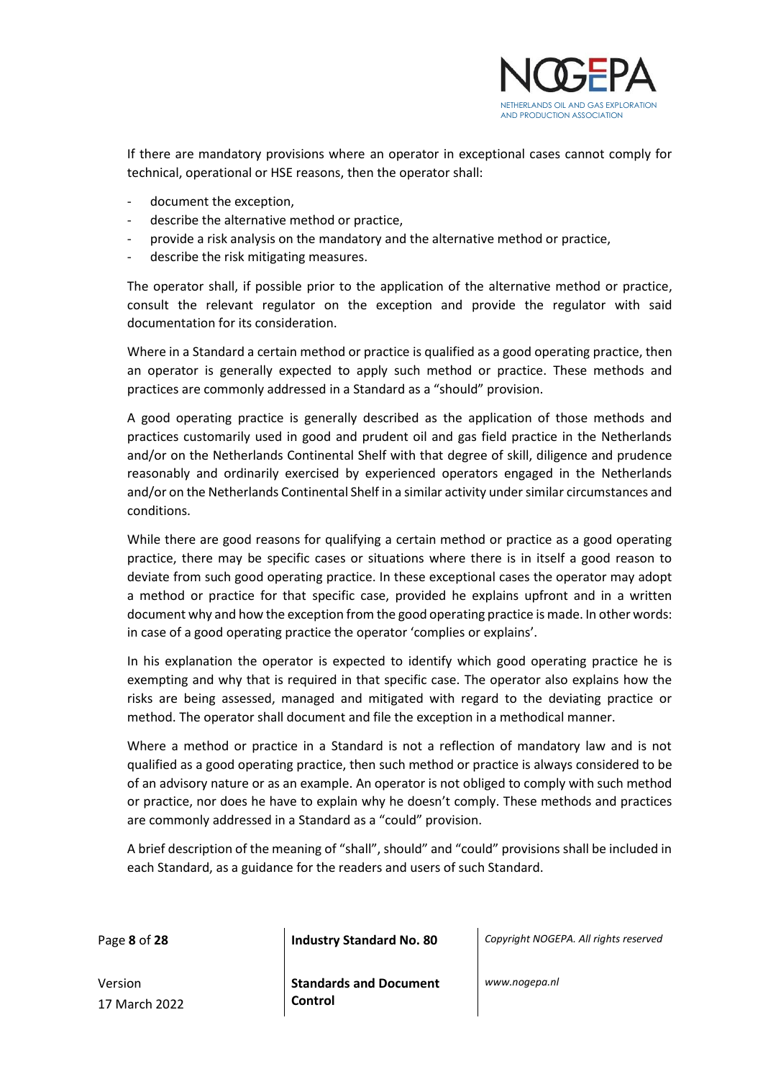

If there are mandatory provisions where an operator in exceptional cases cannot comply for technical, operational or HSE reasons, then the operator shall:

- document the exception,
- describe the alternative method or practice,
- provide a risk analysis on the mandatory and the alternative method or practice,
- describe the risk mitigating measures.

The operator shall, if possible prior to the application of the alternative method or practice, consult the relevant regulator on the exception and provide the regulator with said documentation for its consideration.

Where in a Standard a certain method or practice is qualified as a good operating practice, then an operator is generally expected to apply such method or practice. These methods and practices are commonly addressed in a Standard as a "should" provision.

A good operating practice is generally described as the application of those methods and practices customarily used in good and prudent oil and gas field practice in the Netherlands and/or on the Netherlands Continental Shelf with that degree of skill, diligence and prudence reasonably and ordinarily exercised by experienced operators engaged in the Netherlands and/or on the Netherlands Continental Shelf in a similar activity under similar circumstances and conditions.

While there are good reasons for qualifying a certain method or practice as a good operating practice, there may be specific cases or situations where there is in itself a good reason to deviate from such good operating practice. In these exceptional cases the operator may adopt a method or practice for that specific case, provided he explains upfront and in a written document why and how the exception from the good operating practice is made. In other words: in case of a good operating practice the operator 'complies or explains'.

In his explanation the operator is expected to identify which good operating practice he is exempting and why that is required in that specific case. The operator also explains how the risks are being assessed, managed and mitigated with regard to the deviating practice or method. The operator shall document and file the exception in a methodical manner.

Where a method or practice in a Standard is not a reflection of mandatory law and is not qualified as a good operating practice, then such method or practice is always considered to be of an advisory nature or as an example. An operator is not obliged to comply with such method or practice, nor does he have to explain why he doesn't comply. These methods and practices are commonly addressed in a Standard as a "could" provision.

A brief description of the meaning of "shall", should" and "could" provisions shall be included in each Standard, as a guidance for the readers and users of such Standard.

Page **8** of **28 Industry Standard No. 80** *Copyright NOGEPA. All rights reserved*

Version 17 March 2022 **Standards and Document Control**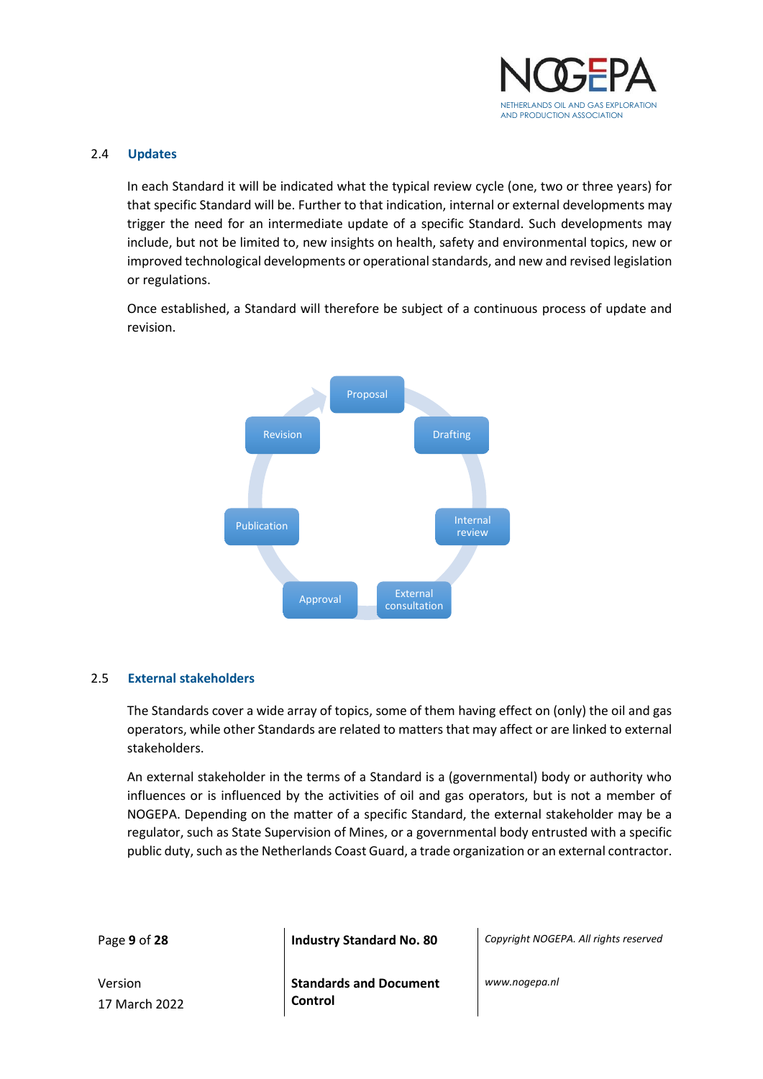

#### <span id="page-8-0"></span>2.4 **Updates**

In each Standard it will be indicated what the typical review cycle (one, two or three years) for that specific Standard will be. Further to that indication, internal or external developments may trigger the need for an intermediate update of a specific Standard. Such developments may include, but not be limited to, new insights on health, safety and environmental topics, new or improved technological developments or operational standards, and new and revised legislation or regulations.

Once established, a Standard will therefore be subject of a continuous process of update and revision.



#### <span id="page-8-1"></span>2.5 **External stakeholders**

The Standards cover a wide array of topics, some of them having effect on (only) the oil and gas operators, while other Standards are related to matters that may affect or are linked to external stakeholders.

An external stakeholder in the terms of a Standard is a (governmental) body or authority who influences or is influenced by the activities of oil and gas operators, but is not a member of NOGEPA. Depending on the matter of a specific Standard, the external stakeholder may be a regulator, such as State Supervision of Mines, or a governmental body entrusted with a specific public duty, such as the Netherlands Coast Guard, a trade organization or an external contractor.

| Page 9 of 28 |  |  |
|--------------|--|--|
|--------------|--|--|

**Industry Standard No. 80** *Copyright NOGEPA. All rights reserved* 

Version 17 March 2022 **Standards and Document Control**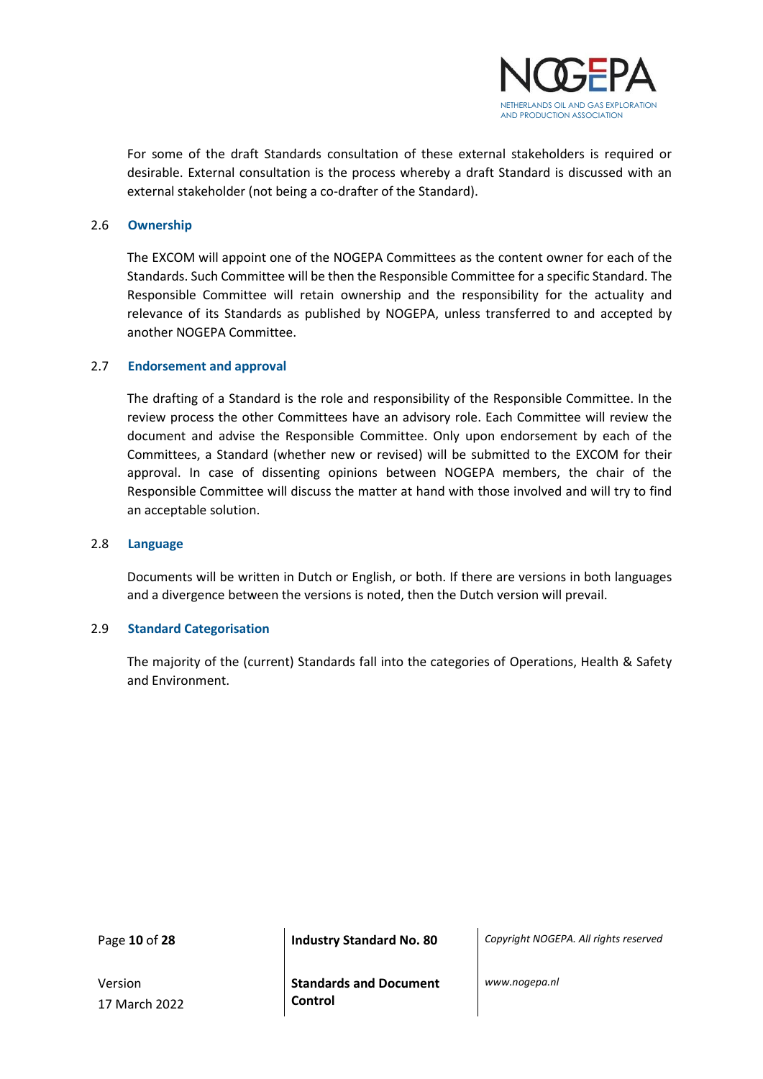

For some of the draft Standards consultation of these external stakeholders is required or desirable. External consultation is the process whereby a draft Standard is discussed with an external stakeholder (not being a co-drafter of the Standard).

#### <span id="page-9-0"></span>2.6 **Ownership**

The EXCOM will appoint one of the NOGEPA Committees as the content owner for each of the Standards. Such Committee will be then the Responsible Committee for a specific Standard. The Responsible Committee will retain ownership and the responsibility for the actuality and relevance of its Standards as published by NOGEPA, unless transferred to and accepted by another NOGEPA Committee.

#### <span id="page-9-1"></span>2.7 **Endorsement and approval**

The drafting of a Standard is the role and responsibility of the Responsible Committee. In the review process the other Committees have an advisory role. Each Committee will review the document and advise the Responsible Committee. Only upon endorsement by each of the Committees, a Standard (whether new or revised) will be submitted to the EXCOM for their approval. In case of dissenting opinions between NOGEPA members, the chair of the Responsible Committee will discuss the matter at hand with those involved and will try to find an acceptable solution.

#### <span id="page-9-2"></span>2.8 **Language**

Documents will be written in Dutch or English, or both. If there are versions in both languages and a divergence between the versions is noted, then the Dutch version will prevail.

#### <span id="page-9-3"></span>2.9 **Standard Categorisation**

The majority of the (current) Standards fall into the categories of Operations, Health & Safety and Environment.

Version 17 March 2022

Page **10** of **28 Industry Standard No. 80** *Copyright NOGEPA. All rights reserved*

**Standards and Document Control**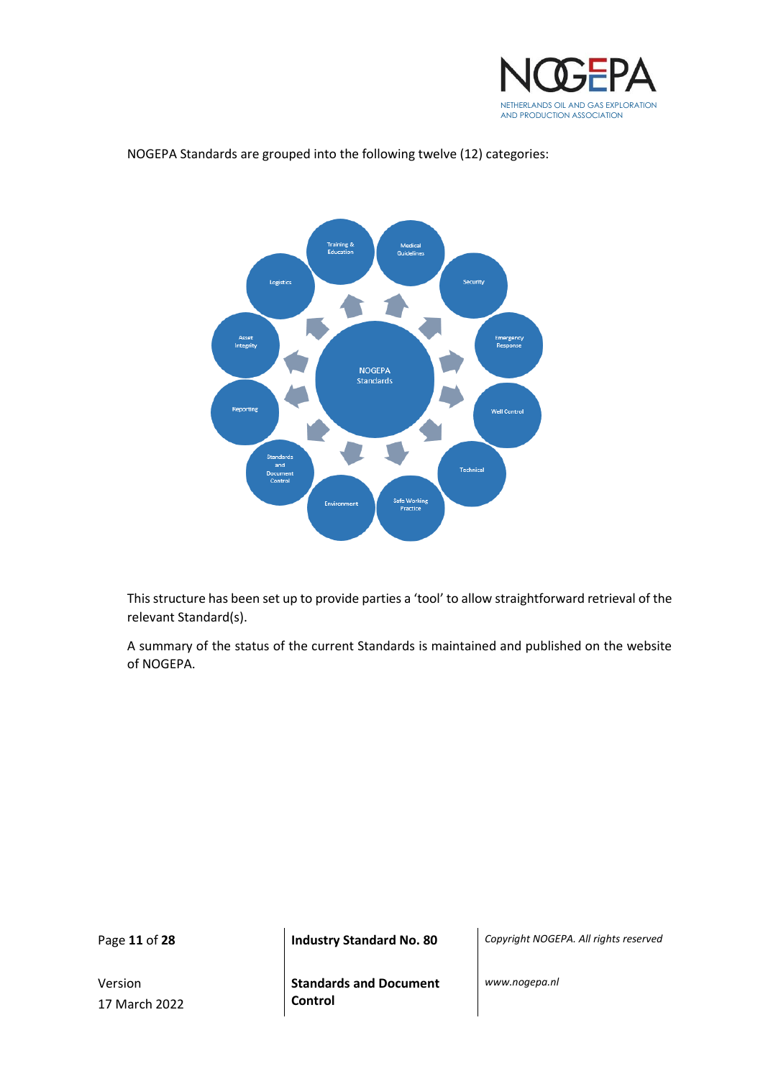



#### NOGEPA Standards are grouped into the following twelve (12) categories:

This structure has been set up to provide parties a 'tool' to allow straightforward retrieval of the relevant Standard(s).

A summary of the status of the current Standards is maintained and published on the website of NOGEPA.

Version 17 March 2022

Page **11** of **28 Industry Standard No. 80** *Copyright NOGEPA. All rights reserved*

**Standards and Document Control**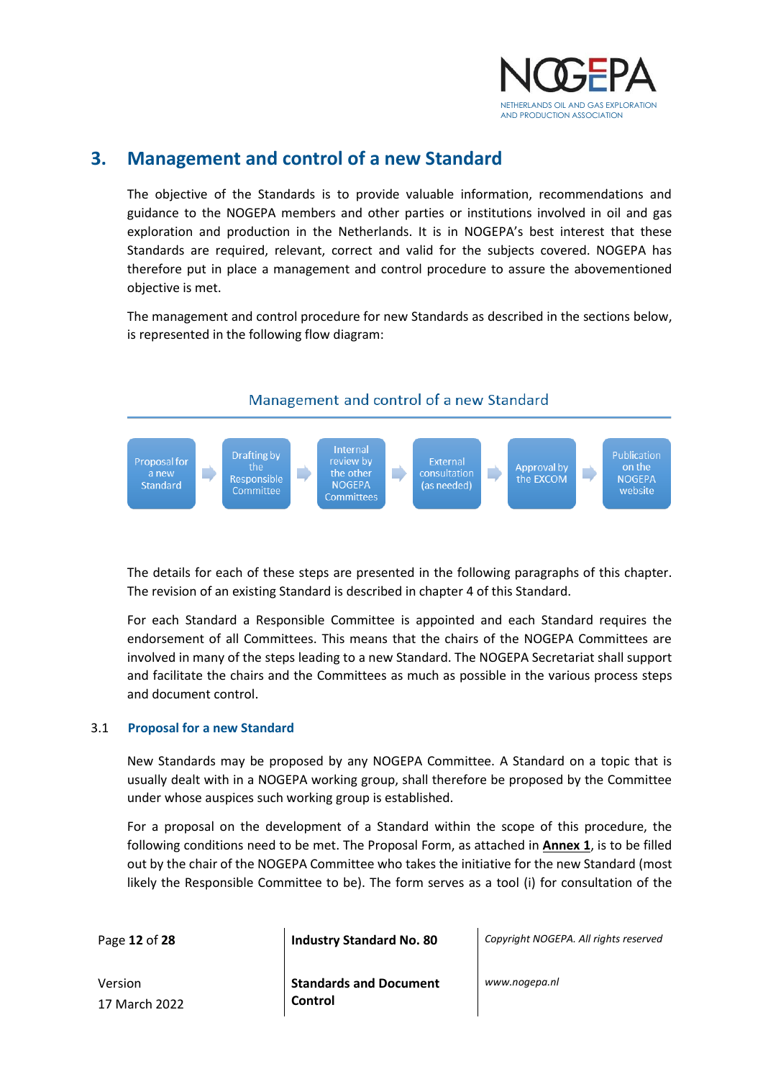

## <span id="page-11-0"></span>**3. Management and control of a new Standard**

The objective of the Standards is to provide valuable information, recommendations and guidance to the NOGEPA members and other parties or institutions involved in oil and gas exploration and production in the Netherlands. It is in NOGEPA's best interest that these Standards are required, relevant, correct and valid for the subjects covered. NOGEPA has therefore put in place a management and control procedure to assure the abovementioned objective is met.

The management and control procedure for new Standards as described in the sections below, is represented in the following flow diagram:

## Management and control of a new Standard



The details for each of these steps are presented in the following paragraphs of this chapter. The revision of an existing Standard is described in chapter 4 of this Standard.

For each Standard a Responsible Committee is appointed and each Standard requires the endorsement of all Committees. This means that the chairs of the NOGEPA Committees are involved in many of the steps leading to a new Standard. The NOGEPA Secretariat shall support and facilitate the chairs and the Committees as much as possible in the various process steps and document control.

#### <span id="page-11-1"></span>3.1 **Proposal for a new Standard**

New Standards may be proposed by any NOGEPA Committee. A Standard on a topic that is usually dealt with in a NOGEPA working group, shall therefore be proposed by the Committee under whose auspices such working group is established.

For a proposal on the development of a Standard within the scope of this procedure, the following conditions need to be met. The Proposal Form, as attached in **Annex 1**, is to be filled out by the chair of the NOGEPA Committee who takes the initiative for the new Standard (most likely the Responsible Committee to be). The form serves as a tool (i) for consultation of the

Page **12** of **28 Industry Standard No. 80** *Copyright NOGEPA. All rights reserved*

Version 17 March 2022 **Standards and Document Control**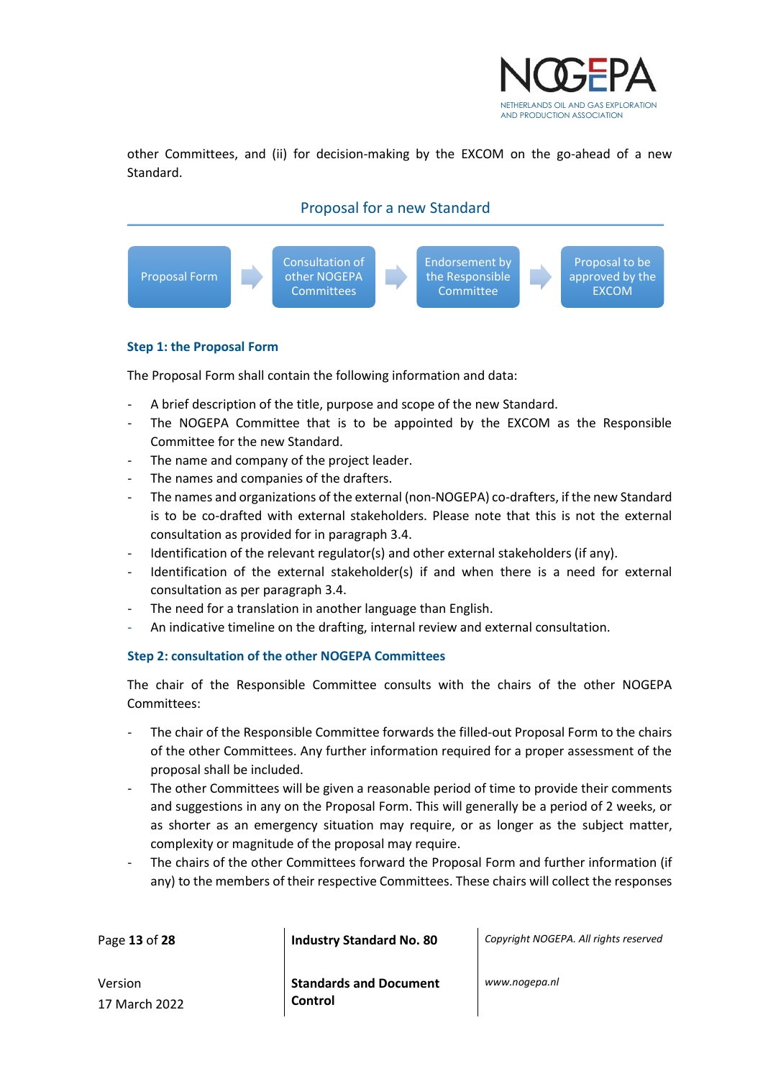

other Committees, and (ii) for decision-making by the EXCOM on the go-ahead of a new Standard.

#### Proposal for a new Standard



#### **Step 1: the Proposal Form**

The Proposal Form shall contain the following information and data:

- A brief description of the title, purpose and scope of the new Standard.
- The NOGEPA Committee that is to be appointed by the EXCOM as the Responsible Committee for the new Standard.
- The name and company of the project leader.
- The names and companies of the drafters.
- The names and organizations of the external (non-NOGEPA) co-drafters, if the new Standard is to be co-drafted with external stakeholders. Please note that this is not the external consultation as provided for in paragraph 3.4.
- Identification of the relevant regulator(s) and other external stakeholders (if any).
- Identification of the external stakeholder(s) if and when there is a need for external consultation as per paragraph 3.4.
- The need for a translation in another language than English.
- An indicative timeline on the drafting, internal review and external consultation.

#### **Step 2: consultation of the other NOGEPA Committees**

The chair of the Responsible Committee consults with the chairs of the other NOGEPA Committees:

- The chair of the Responsible Committee forwards the filled-out Proposal Form to the chairs of the other Committees. Any further information required for a proper assessment of the proposal shall be included.
- The other Committees will be given a reasonable period of time to provide their comments and suggestions in any on the Proposal Form. This will generally be a period of 2 weeks, or as shorter as an emergency situation may require, or as longer as the subject matter, complexity or magnitude of the proposal may require.
- The chairs of the other Committees forward the Proposal Form and further information (if any) to the members of their respective Committees. These chairs will collect the responses

| Page 13 of 28 | <b>Industry Standard No. 80</b> | Copyright NOGEPA. All rights reserved |
|---------------|---------------------------------|---------------------------------------|
|               |                                 |                                       |

Version 17 March 2022 **Standards and Document Control**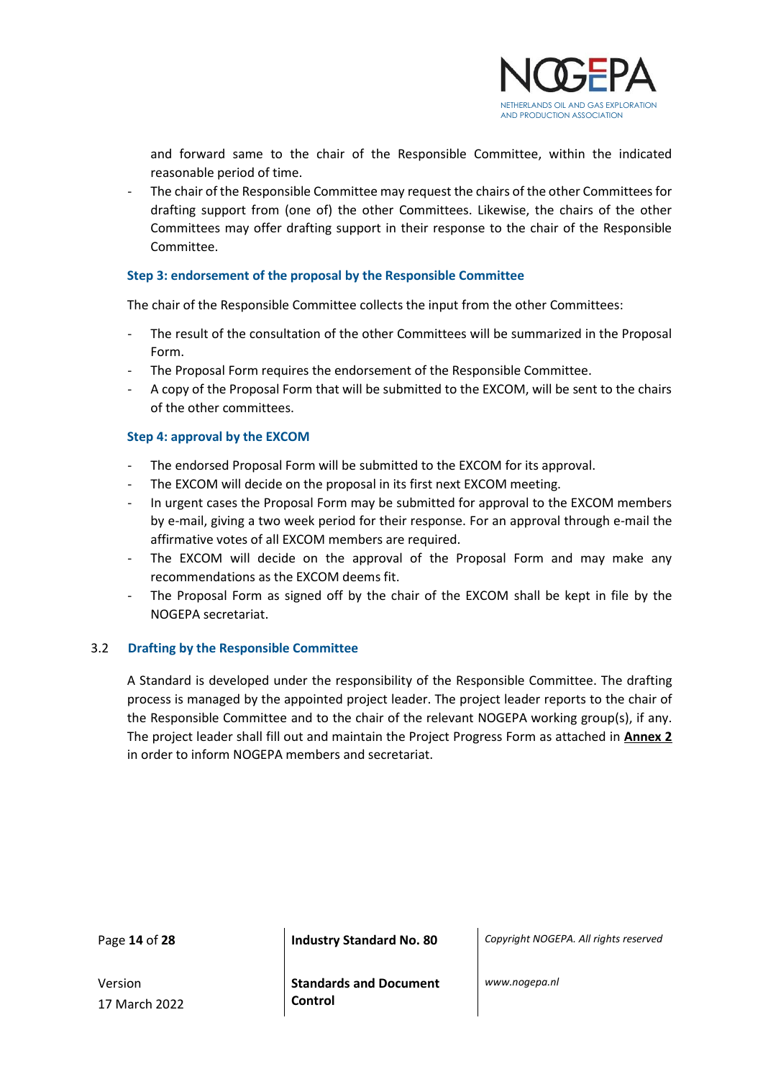

and forward same to the chair of the Responsible Committee, within the indicated reasonable period of time.

- The chair of the Responsible Committee may request the chairs of the other Committees for drafting support from (one of) the other Committees. Likewise, the chairs of the other Committees may offer drafting support in their response to the chair of the Responsible Committee.

#### **Step 3: endorsement of the proposal by the Responsible Committee**

The chair of the Responsible Committee collects the input from the other Committees:

- The result of the consultation of the other Committees will be summarized in the Proposal Form.
- The Proposal Form requires the endorsement of the Responsible Committee.
- A copy of the Proposal Form that will be submitted to the EXCOM, will be sent to the chairs of the other committees.

#### **Step 4: approval by the EXCOM**

- The endorsed Proposal Form will be submitted to the EXCOM for its approval.
- The EXCOM will decide on the proposal in its first next EXCOM meeting.
- In urgent cases the Proposal Form may be submitted for approval to the EXCOM members by e-mail, giving a two week period for their response. For an approval through e-mail the affirmative votes of all EXCOM members are required.
- The EXCOM will decide on the approval of the Proposal Form and may make any recommendations as the EXCOM deems fit.
- The Proposal Form as signed off by the chair of the EXCOM shall be kept in file by the NOGEPA secretariat.

#### <span id="page-13-0"></span>3.2 **Drafting by the Responsible Committee**

A Standard is developed under the responsibility of the Responsible Committee. The drafting process is managed by the appointed project leader. The project leader reports to the chair of the Responsible Committee and to the chair of the relevant NOGEPA working group(s), if any. The project leader shall fill out and maintain the Project Progress Form as attached in **Annex 2** in order to inform NOGEPA members and secretariat.

Page **14** of **28 Industry Standard No. 80** *Copyright NOGEPA. All rights reserved*

Version 17 March 2022 **Standards and Document Control**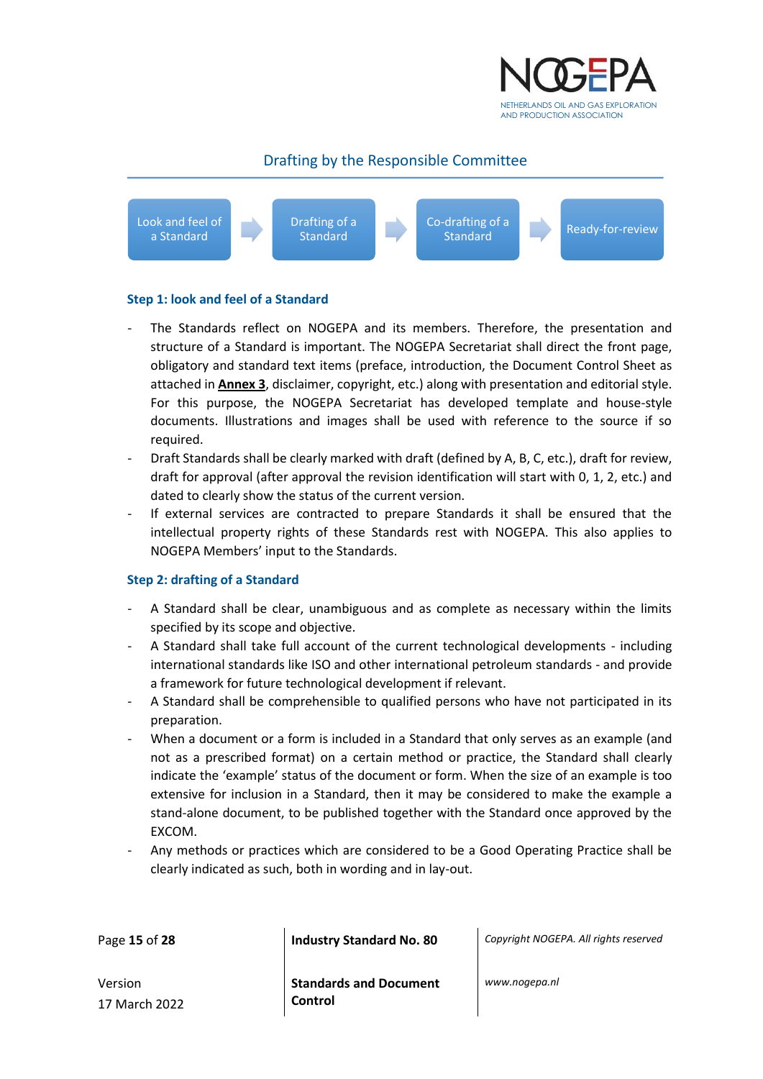

#### Drafting by the Responsible Committee



#### **Step 1: look and feel of a Standard**

- The Standards reflect on NOGEPA and its members. Therefore, the presentation and structure of a Standard is important. The NOGEPA Secretariat shall direct the front page, obligatory and standard text items (preface, introduction, the Document Control Sheet as attached in **Annex 3**, disclaimer, copyright, etc.) along with presentation and editorial style. For this purpose, the NOGEPA Secretariat has developed template and house-style documents. Illustrations and images shall be used with reference to the source if so required.
- Draft Standards shall be clearly marked with draft (defined by A, B, C, etc.), draft for review, draft for approval (after approval the revision identification will start with 0, 1, 2, etc.) and dated to clearly show the status of the current version.
- If external services are contracted to prepare Standards it shall be ensured that the intellectual property rights of these Standards rest with NOGEPA. This also applies to NOGEPA Members' input to the Standards.

#### **Step 2: drafting of a Standard**

- A Standard shall be clear, unambiguous and as complete as necessary within the limits specified by its scope and objective.
- A Standard shall take full account of the current technological developments including international standards like ISO and other international petroleum standards - and provide a framework for future technological development if relevant.
- A Standard shall be comprehensible to qualified persons who have not participated in its preparation.
- When a document or a form is included in a Standard that only serves as an example (and not as a prescribed format) on a certain method or practice, the Standard shall clearly indicate the 'example' status of the document or form. When the size of an example is too extensive for inclusion in a Standard, then it may be considered to make the example a stand-alone document, to be published together with the Standard once approved by the EXCOM.
- Any methods or practices which are considered to be a Good Operating Practice shall be clearly indicated as such, both in wording and in lay-out.

| Page 15 of 28 |  |
|---------------|--|
|               |  |

**Industry Standard No. 80** *Copyright NOGEPA. All rights reserved* 

Version 17 March 2022 **Standards and Document Control**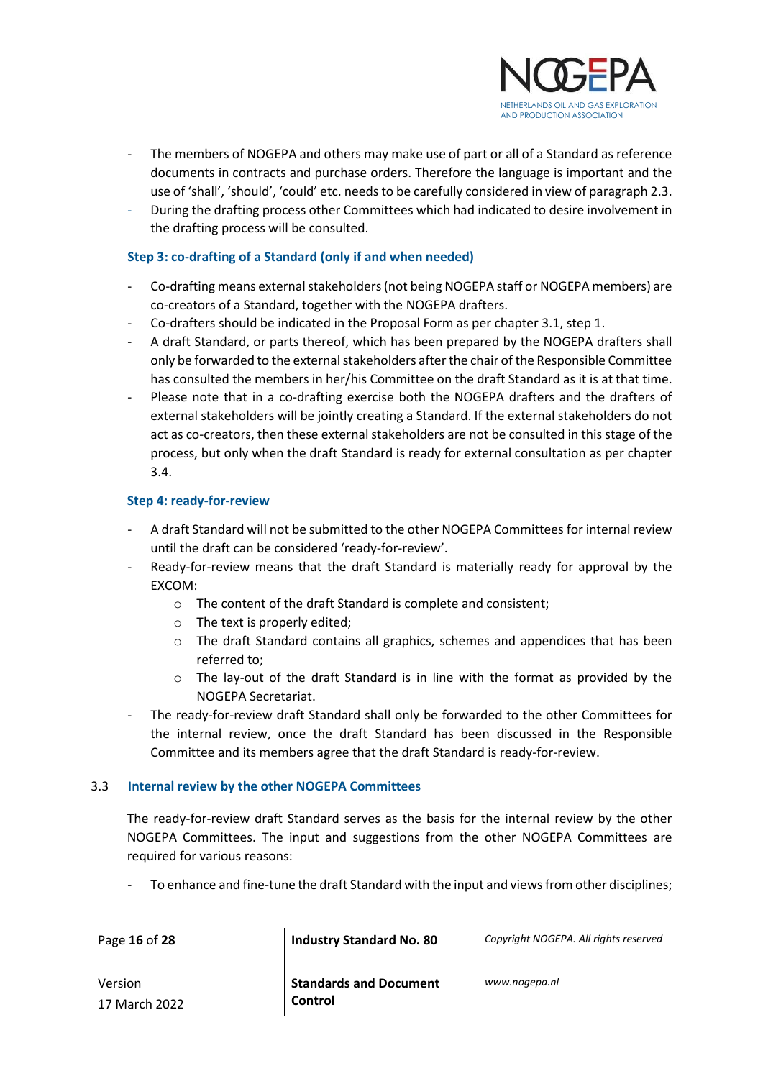

- The members of NOGEPA and others may make use of part or all of a Standard as reference documents in contracts and purchase orders. Therefore the language is important and the use of 'shall', 'should', 'could' etc. needs to be carefully considered in view of paragraph 2.3.
- During the drafting process other Committees which had indicated to desire involvement in the drafting process will be consulted.

#### **Step 3: co-drafting of a Standard (only if and when needed)**

- Co-drafting means external stakeholders (not being NOGEPA staff or NOGEPA members) are co-creators of a Standard, together with the NOGEPA drafters.
- Co-drafters should be indicated in the Proposal Form as per chapter 3.1, step 1.
- A draft Standard, or parts thereof, which has been prepared by the NOGEPA drafters shall only be forwarded to the external stakeholders after the chair of the Responsible Committee has consulted the members in her/his Committee on the draft Standard as it is at that time.
- Please note that in a co-drafting exercise both the NOGEPA drafters and the drafters of external stakeholders will be jointly creating a Standard. If the external stakeholders do not act as co-creators, then these external stakeholders are not be consulted in this stage of the process, but only when the draft Standard is ready for external consultation as per chapter 3.4.

#### **Step 4: ready-for-review**

- A draft Standard will not be submitted to the other NOGEPA Committees for internal review until the draft can be considered 'ready-for-review'.
- Ready-for-review means that the draft Standard is materially ready for approval by the EXCOM:
	- o The content of the draft Standard is complete and consistent;
	- o The text is properly edited;
	- o The draft Standard contains all graphics, schemes and appendices that has been referred to;
	- $\circ$  The lay-out of the draft Standard is in line with the format as provided by the NOGEPA Secretariat.
- The ready-for-review draft Standard shall only be forwarded to the other Committees for the internal review, once the draft Standard has been discussed in the Responsible Committee and its members agree that the draft Standard is ready-for-review.

#### <span id="page-15-0"></span>3.3 **Internal review by the other NOGEPA Committees**

The ready-for-review draft Standard serves as the basis for the internal review by the other NOGEPA Committees. The input and suggestions from the other NOGEPA Committees are required for various reasons:

To enhance and fine-tune the draft Standard with the input and views from other disciplines;

Page **16** of **28 Industry Standard No. 80** *Copyright NOGEPA. All rights reserved*

Version 17 March 2022 **Standards and Document Control**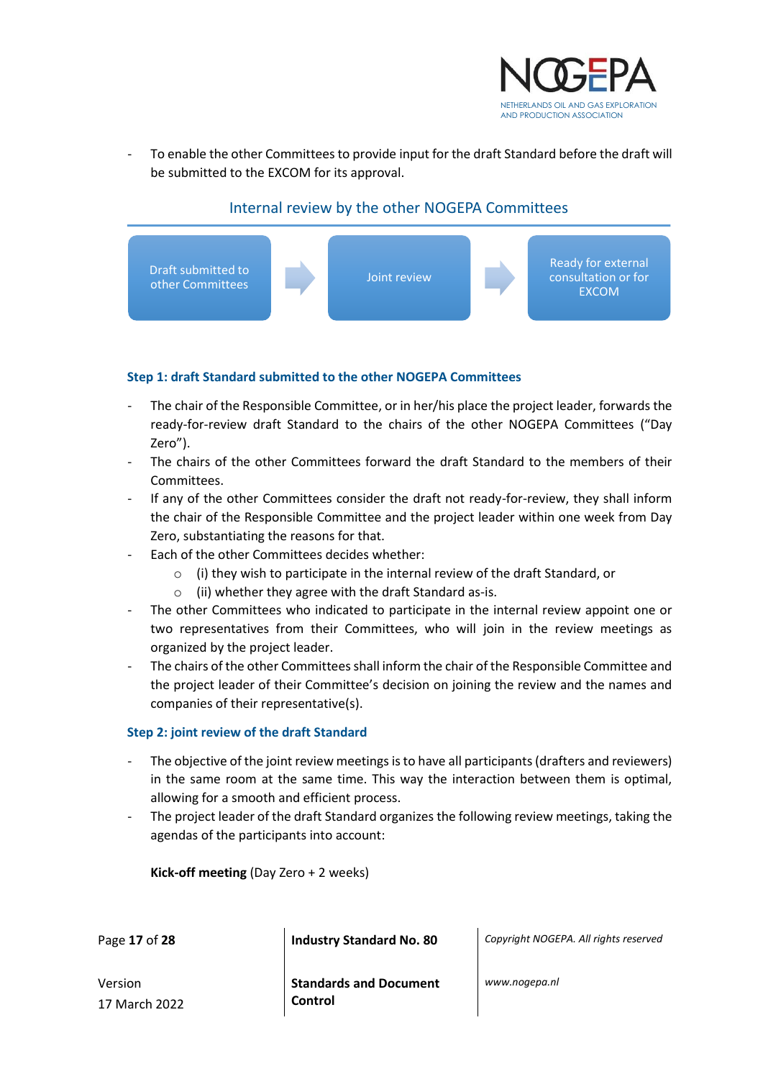

To enable the other Committees to provide input for the draft Standard before the draft will be submitted to the EXCOM for its approval.



#### Internal review by the other NOGEPA Committees

#### **Step 1: draft Standard submitted to the other NOGEPA Committees**

- The chair of the Responsible Committee, or in her/his place the project leader, forwards the ready-for-review draft Standard to the chairs of the other NOGEPA Committees ("Day Zero").
- The chairs of the other Committees forward the draft Standard to the members of their Committees.
- If any of the other Committees consider the draft not ready-for-review, they shall inform the chair of the Responsible Committee and the project leader within one week from Day Zero, substantiating the reasons for that.
- Each of the other Committees decides whether:
	- o (i) they wish to participate in the internal review of the draft Standard, or
	- o (ii) whether they agree with the draft Standard as-is.
- The other Committees who indicated to participate in the internal review appoint one or two representatives from their Committees, who will join in the review meetings as organized by the project leader.
- The chairs of the other Committees shall inform the chair of the Responsible Committee and the project leader of their Committee's decision on joining the review and the names and companies of their representative(s).

#### **Step 2: joint review of the draft Standard**

- The objective of the joint review meetings is to have all participants (drafters and reviewers) in the same room at the same time. This way the interaction between them is optimal, allowing for a smooth and efficient process.
- The project leader of the draft Standard organizes the following review meetings, taking the agendas of the participants into account:

**Kick-off meeting** (Day Zero + 2 weeks)

Page **17** of **28 Industry Standard No. 80** *Copyright NOGEPA. All rights reserved*

Version 17 March 2022 **Standards and Document Control**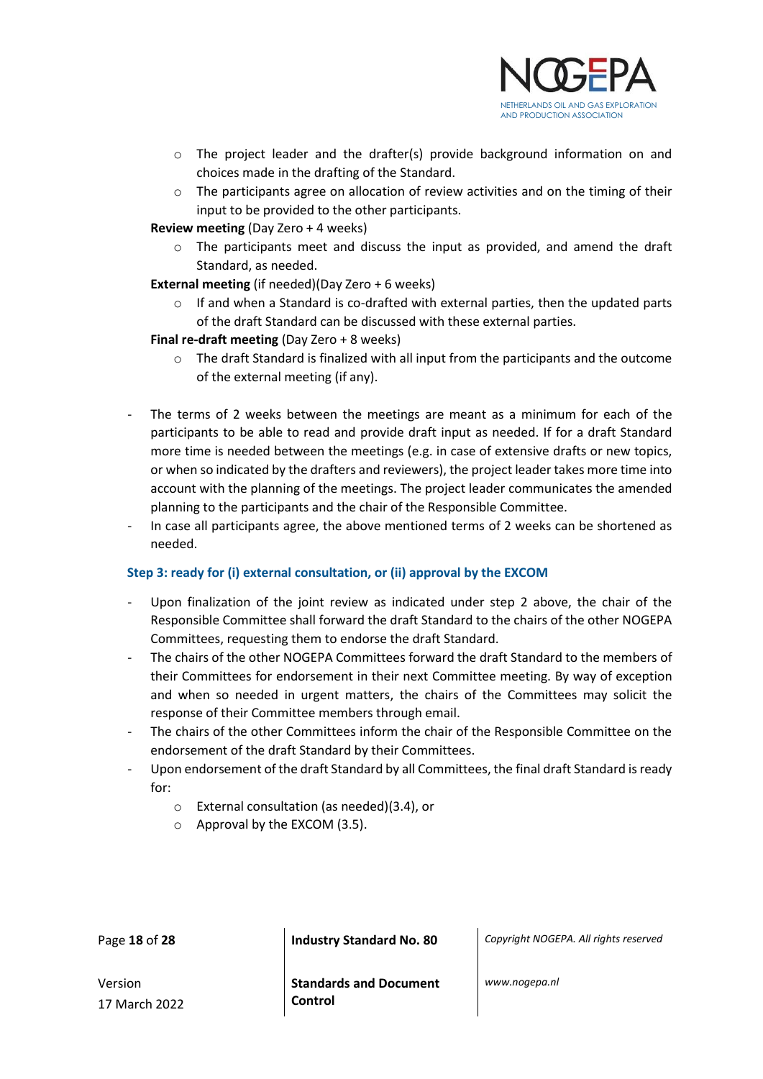

- $\circ$  The project leader and the drafter(s) provide background information on and choices made in the drafting of the Standard.
- $\circ$  The participants agree on allocation of review activities and on the timing of their input to be provided to the other participants.
- **Review meeting** (Day Zero + 4 weeks)
	- $\circ$  The participants meet and discuss the input as provided, and amend the draft Standard, as needed.
- **External meeting** (if needed)(Day Zero + 6 weeks)
	- $\circ$  If and when a Standard is co-drafted with external parties, then the updated parts of the draft Standard can be discussed with these external parties.
- **Final re-draft meeting** (Day Zero + 8 weeks)
	- $\circ$  The draft Standard is finalized with all input from the participants and the outcome of the external meeting (if any).
- The terms of 2 weeks between the meetings are meant as a minimum for each of the participants to be able to read and provide draft input as needed. If for a draft Standard more time is needed between the meetings (e.g. in case of extensive drafts or new topics, or when so indicated by the drafters and reviewers), the project leader takes more time into account with the planning of the meetings. The project leader communicates the amended planning to the participants and the chair of the Responsible Committee.
- In case all participants agree, the above mentioned terms of 2 weeks can be shortened as needed.

#### **Step 3: ready for (i) external consultation, or (ii) approval by the EXCOM**

- Upon finalization of the joint review as indicated under step 2 above, the chair of the Responsible Committee shall forward the draft Standard to the chairs of the other NOGEPA Committees, requesting them to endorse the draft Standard.
- The chairs of the other NOGEPA Committees forward the draft Standard to the members of their Committees for endorsement in their next Committee meeting. By way of exception and when so needed in urgent matters, the chairs of the Committees may solicit the response of their Committee members through email.
- The chairs of the other Committees inform the chair of the Responsible Committee on the endorsement of the draft Standard by their Committees.
- Upon endorsement of the draft Standard by all Committees, the final draft Standard is ready for:
	- o External consultation (as needed)(3.4), or
	- o Approval by the EXCOM (3.5).

Page **18** of **28 Industry Standard No. 80** *Copyright NOGEPA. All rights reserved*

Version 17 March 2022 **Standards and Document Control**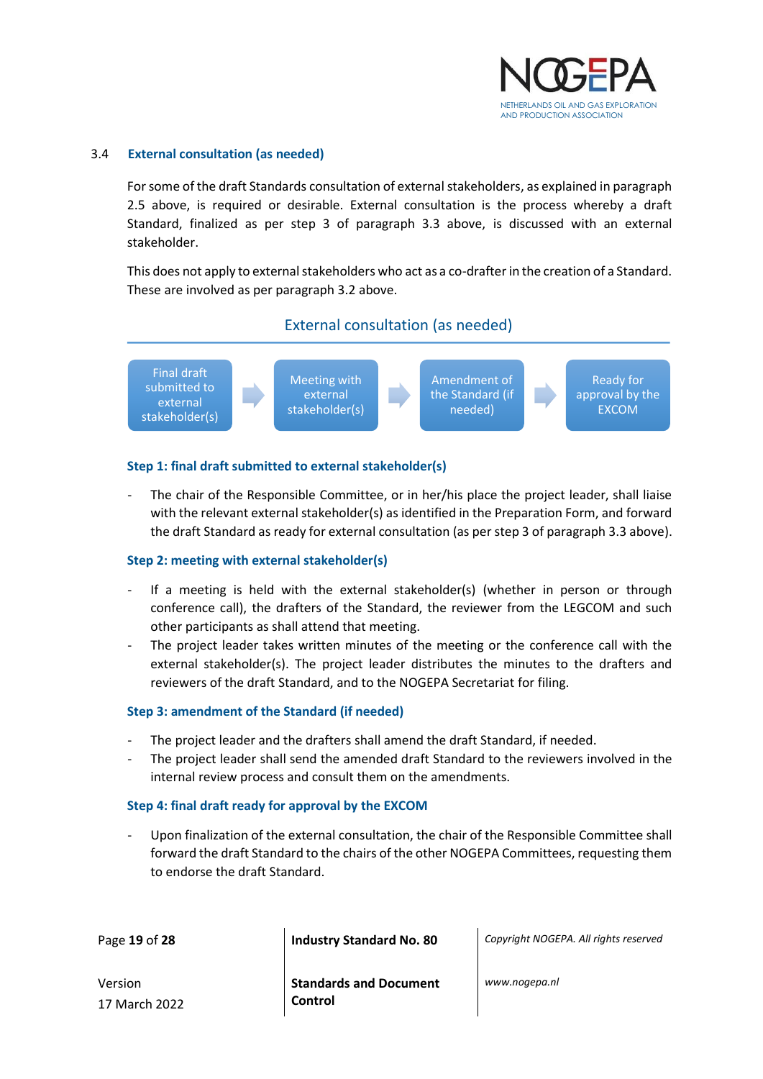

#### <span id="page-18-0"></span>3.4 **External consultation (as needed)**

For some of the draft Standards consultation of external stakeholders, as explained in paragraph 2.5 above, is required or desirable. External consultation is the process whereby a draft Standard, finalized as per step 3 of paragraph 3.3 above, is discussed with an external stakeholder.

This does not apply to external stakeholders who act as a co-drafter in the creation of a Standard. These are involved as per paragraph 3.2 above.





#### **Step 1: final draft submitted to external stakeholder(s)**

The chair of the Responsible Committee, or in her/his place the project leader, shall liaise with the relevant external stakeholder(s) as identified in the Preparation Form, and forward the draft Standard as ready for external consultation (as per step 3 of paragraph 3.3 above).

#### **Step 2: meeting with external stakeholder(s)**

- If a meeting is held with the external stakeholder(s) (whether in person or through conference call), the drafters of the Standard, the reviewer from the LEGCOM and such other participants as shall attend that meeting.
- The project leader takes written minutes of the meeting or the conference call with the external stakeholder(s). The project leader distributes the minutes to the drafters and reviewers of the draft Standard, and to the NOGEPA Secretariat for filing.

#### **Step 3: amendment of the Standard (if needed)**

- The project leader and the drafters shall amend the draft Standard, if needed.
- The project leader shall send the amended draft Standard to the reviewers involved in the internal review process and consult them on the amendments.

#### **Step 4: final draft ready for approval by the EXCOM**

Upon finalization of the external consultation, the chair of the Responsible Committee shall forward the draft Standard to the chairs of the other NOGEPA Committees, requesting them to endorse the draft Standard.

Page **19** of **28 Industry Standard No. 80** *Copyright NOGEPA. All rights reserved*

Version 17 March 2022 **Standards and Document Control**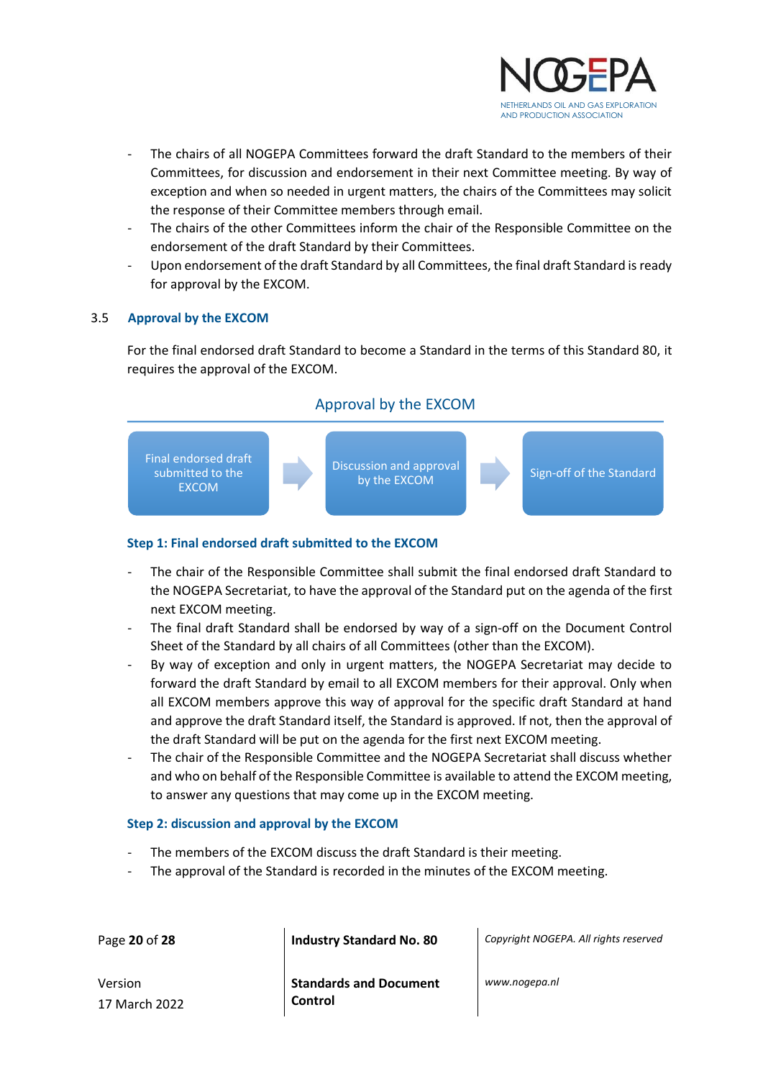

- The chairs of all NOGEPA Committees forward the draft Standard to the members of their Committees, for discussion and endorsement in their next Committee meeting. By way of exception and when so needed in urgent matters, the chairs of the Committees may solicit the response of their Committee members through email.
- The chairs of the other Committees inform the chair of the Responsible Committee on the endorsement of the draft Standard by their Committees.
- Upon endorsement of the draft Standard by all Committees, the final draft Standard is ready for approval by the EXCOM.

#### <span id="page-19-0"></span>3.5 **Approval by the EXCOM**

For the final endorsed draft Standard to become a Standard in the terms of this Standard 80, it requires the approval of the EXCOM.

#### Approval by the EXCOM



#### **Step 1: Final endorsed draft submitted to the EXCOM**

- The chair of the Responsible Committee shall submit the final endorsed draft Standard to the NOGEPA Secretariat, to have the approval of the Standard put on the agenda of the first next EXCOM meeting.
- The final draft Standard shall be endorsed by way of a sign-off on the Document Control Sheet of the Standard by all chairs of all Committees (other than the EXCOM).
- By way of exception and only in urgent matters, the NOGEPA Secretariat may decide to forward the draft Standard by email to all EXCOM members for their approval. Only when all EXCOM members approve this way of approval for the specific draft Standard at hand and approve the draft Standard itself, the Standard is approved. If not, then the approval of the draft Standard will be put on the agenda for the first next EXCOM meeting.
- The chair of the Responsible Committee and the NOGEPA Secretariat shall discuss whether and who on behalf of the Responsible Committee is available to attend the EXCOM meeting, to answer any questions that may come up in the EXCOM meeting.

#### **Step 2: discussion and approval by the EXCOM**

17 March 2022

- The members of the EXCOM discuss the draft Standard is their meeting.
- The approval of the Standard is recorded in the minutes of the EXCOM meeting.

| Page 20 of 28 | <b>Industry Standard No. 80</b> | Copyright NOGEPA. All rights reserved |
|---------------|---------------------------------|---------------------------------------|
| Version       | <b>Standards and Document</b>   | www.nogepa.nl                         |

**Control**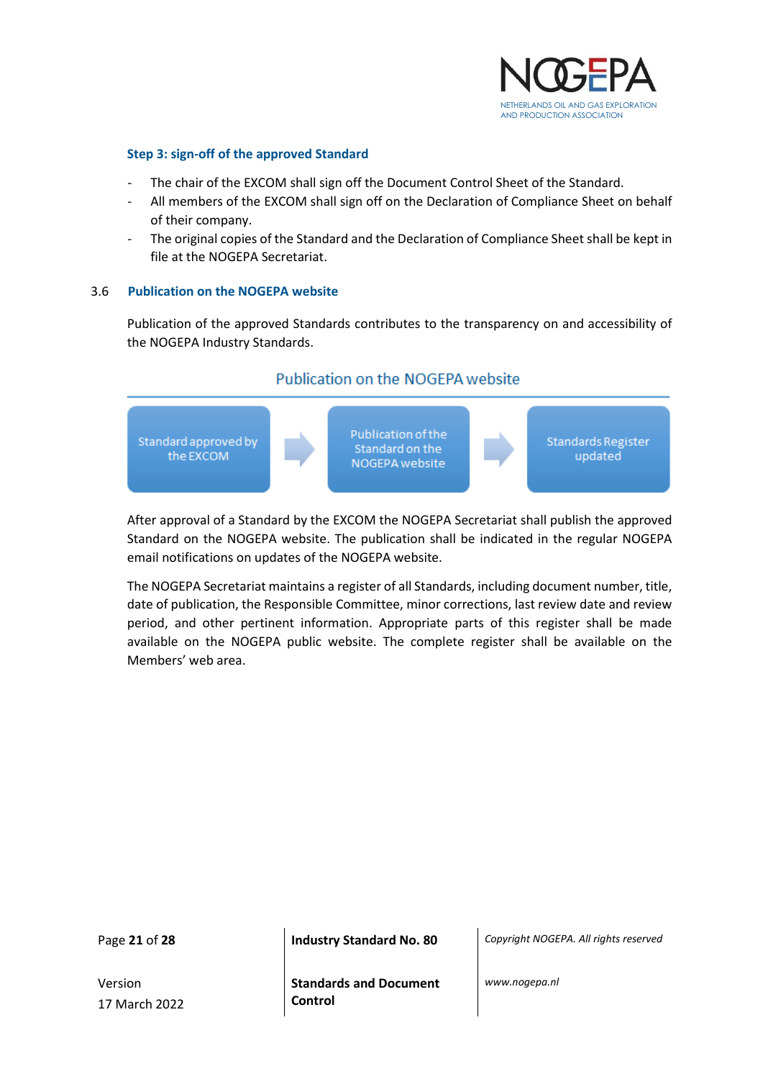

#### **Step 3: sign-off of the approved Standard**

- The chair of the EXCOM shall sign off the Document Control Sheet of the Standard.
- All members of the EXCOM shall sign off on the Declaration of Compliance Sheet on behalf of their company.
- The original copies of the Standard and the Declaration of Compliance Sheet shall be kept in file at the NOGEPA Secretariat.

#### <span id="page-20-0"></span>3.6 **Publication on the NOGEPA website**

Publication of the approved Standards contributes to the transparency on and accessibility of the NOGEPA Industry Standards.

#### Publication on the NOGEPA website



After approval of a Standard by the EXCOM the NOGEPA Secretariat shall publish the approved Standard on the NOGEPA website. The publication shall be indicated in the regular NOGEPA email notifications on updates of the NOGEPA website.

The NOGEPA Secretariat maintains a register of all Standards, including document number, title, date of publication, the Responsible Committee, minor corrections, last review date and review period, and other pertinent information. Appropriate parts of this register shall be made available on the NOGEPA public website. The complete register shall be available on the Members' web area.

Version 17 March 2022

Page **21** of **28 Industry Standard No. 80** *Copyright NOGEPA. All rights reserved*

**Standards and Document Control**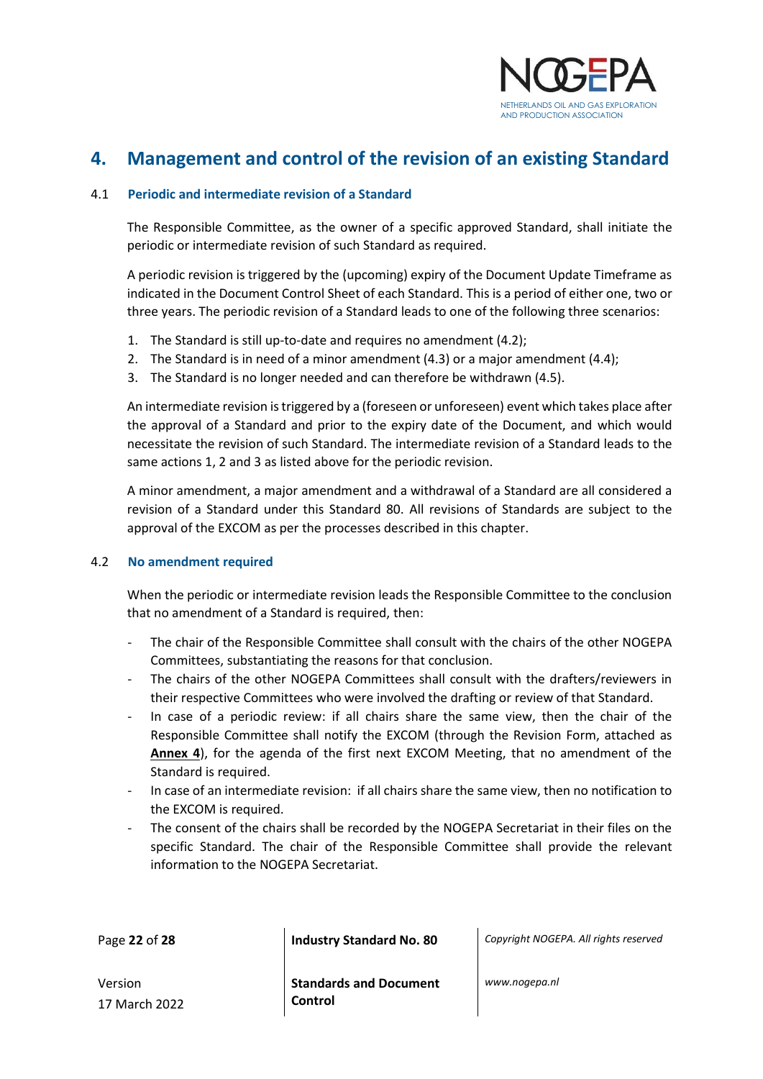

## <span id="page-21-0"></span>**4. Management and control of the revision of an existing Standard**

#### <span id="page-21-1"></span>4.1 **Periodic and intermediate revision of a Standard**

The Responsible Committee, as the owner of a specific approved Standard, shall initiate the periodic or intermediate revision of such Standard as required.

A periodic revision is triggered by the (upcoming) expiry of the Document Update Timeframe as indicated in the Document Control Sheet of each Standard. This is a period of either one, two or three years. The periodic revision of a Standard leads to one of the following three scenarios:

- 1. The Standard is still up-to-date and requires no amendment (4.2);
- 2. The Standard is in need of a minor amendment (4.3) or a major amendment (4.4);
- 3. The Standard is no longer needed and can therefore be withdrawn (4.5).

An intermediate revision is triggered by a (foreseen or unforeseen) event which takes place after the approval of a Standard and prior to the expiry date of the Document, and which would necessitate the revision of such Standard. The intermediate revision of a Standard leads to the same actions 1, 2 and 3 as listed above for the periodic revision.

A minor amendment, a major amendment and a withdrawal of a Standard are all considered a revision of a Standard under this Standard 80. All revisions of Standards are subject to the approval of the EXCOM as per the processes described in this chapter.

#### <span id="page-21-2"></span>4.2 **No amendment required**

When the periodic or intermediate revision leads the Responsible Committee to the conclusion that no amendment of a Standard is required, then:

- The chair of the Responsible Committee shall consult with the chairs of the other NOGEPA Committees, substantiating the reasons for that conclusion.
- The chairs of the other NOGEPA Committees shall consult with the drafters/reviewers in their respective Committees who were involved the drafting or review of that Standard.
- In case of a periodic review: if all chairs share the same view, then the chair of the Responsible Committee shall notify the EXCOM (through the Revision Form, attached as **Annex 4**), for the agenda of the first next EXCOM Meeting, that no amendment of the Standard is required.
- In case of an intermediate revision: if all chairs share the same view, then no notification to the EXCOM is required.
- The consent of the chairs shall be recorded by the NOGEPA Secretariat in their files on the specific Standard. The chair of the Responsible Committee shall provide the relevant information to the NOGEPA Secretariat.

Page **22** of **28 Industry Standard No. 80** *Copyright NOGEPA. All rights reserved*

Version 17 March 2022 **Standards and Document Control**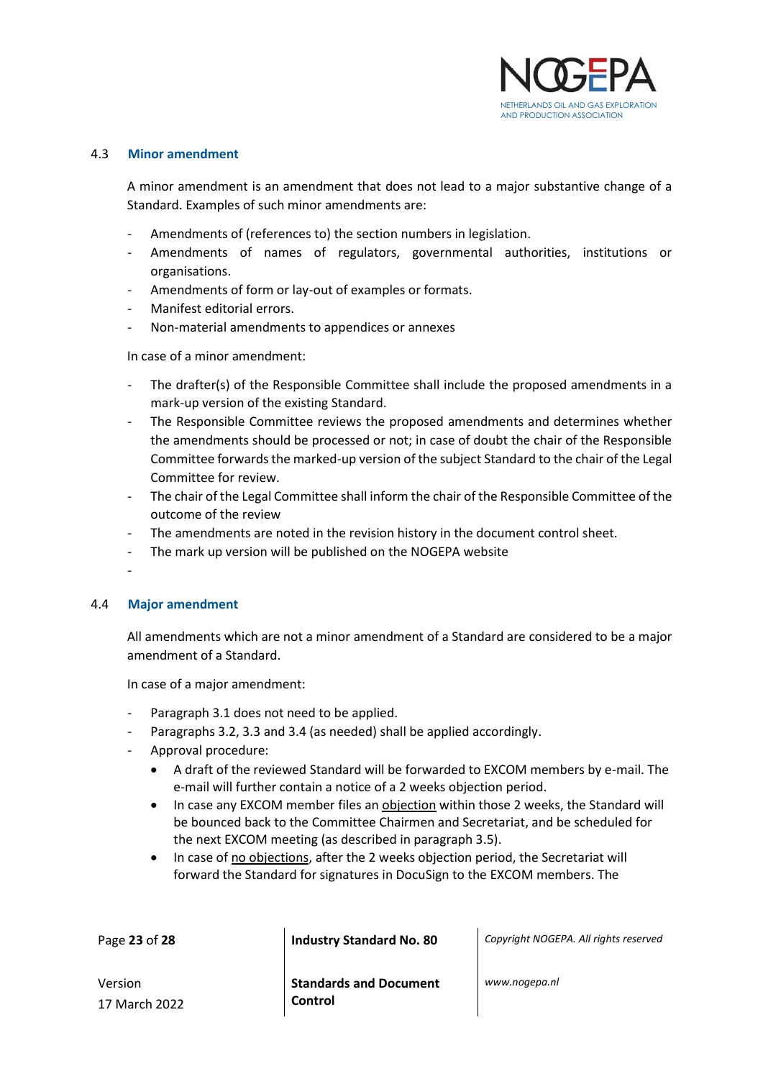

#### <span id="page-22-0"></span>4.3 **Minor amendment**

A minor amendment is an amendment that does not lead to a major substantive change of a Standard. Examples of such minor amendments are:

- Amendments of (references to) the section numbers in legislation.
- Amendments of names of regulators, governmental authorities, institutions or organisations.
- Amendments of form or lay-out of examples or formats.
- Manifest editorial errors.
- Non-material amendments to appendices or annexes

In case of a minor amendment:

- The drafter(s) of the Responsible Committee shall include the proposed amendments in a mark-up version of the existing Standard.
- The Responsible Committee reviews the proposed amendments and determines whether the amendments should be processed or not; in case of doubt the chair of the Responsible Committee forwards the marked-up version of the subject Standard to the chair of the Legal Committee for review.
- The chair of the Legal Committee shall inform the chair of the Responsible Committee of the outcome of the review
- The amendments are noted in the revision history in the document control sheet.
- The mark up version will be published on the NOGEPA website
- -

17 March 2022

#### <span id="page-22-1"></span>4.4 **Major amendment**

All amendments which are not a minor amendment of a Standard are considered to be a major amendment of a Standard.

In case of a major amendment:

- Paragraph 3.1 does not need to be applied.
- Paragraphs 3.2, 3.3 and 3.4 (as needed) shall be applied accordingly.
- Approval procedure:
	- A draft of the reviewed Standard will be forwarded to EXCOM members by e-mail. The e-mail will further contain a notice of a 2 weeks objection period.
	- In case any EXCOM member files an objection within those 2 weeks, the Standard will be bounced back to the Committee Chairmen and Secretariat, and be scheduled for the next EXCOM meeting (as described in paragraph 3.5).
	- In case of no objections, after the 2 weeks objection period, the Secretariat will forward the Standard for signatures in DocuSign to the EXCOM members. The

| Page 23 of 28                | Industry Standard No. 80          | Copyright NOGEPA. All rights reserved |
|------------------------------|-----------------------------------|---------------------------------------|
| Version<br>$17$ March $2022$ | Standards and Document<br>Control | www.nogepa.nl                         |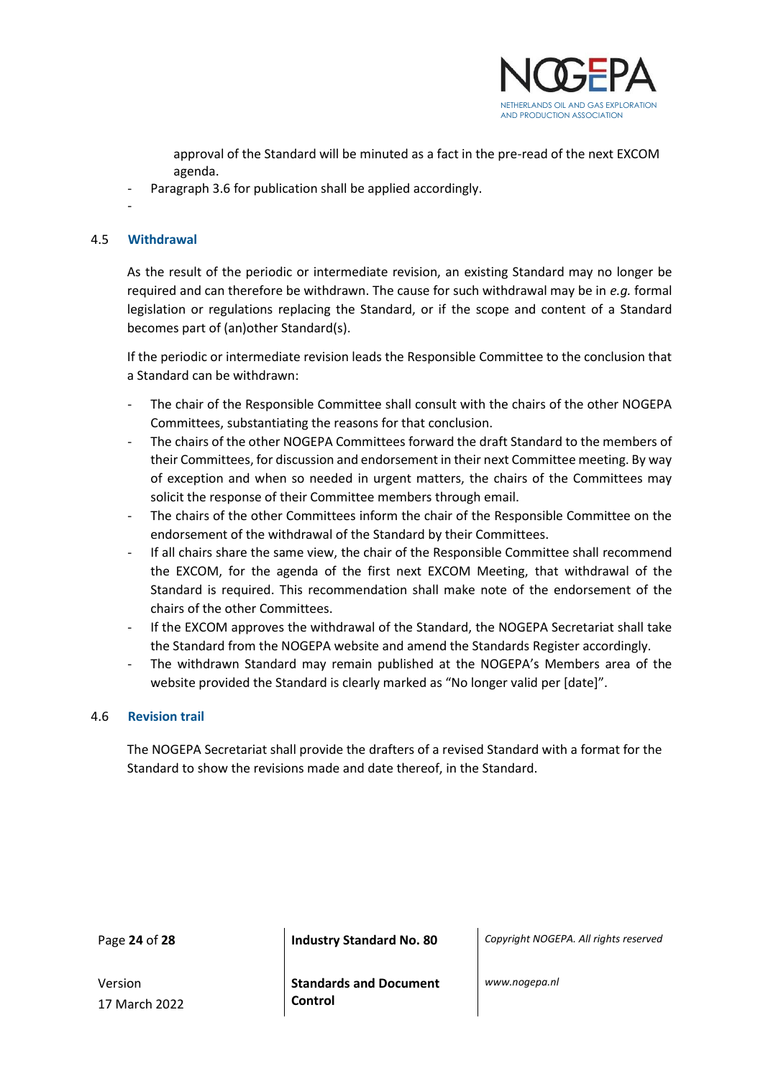

approval of the Standard will be minuted as a fact in the pre-read of the next EXCOM agenda.

Paragraph 3.6 for publication shall be applied accordingly.

## <span id="page-23-0"></span>4.5 **Withdrawal**

-

As the result of the periodic or intermediate revision, an existing Standard may no longer be required and can therefore be withdrawn. The cause for such withdrawal may be in *e.g.* formal legislation or regulations replacing the Standard, or if the scope and content of a Standard becomes part of (an)other Standard(s).

If the periodic or intermediate revision leads the Responsible Committee to the conclusion that a Standard can be withdrawn:

- The chair of the Responsible Committee shall consult with the chairs of the other NOGEPA Committees, substantiating the reasons for that conclusion.
- The chairs of the other NOGEPA Committees forward the draft Standard to the members of their Committees, for discussion and endorsement in their next Committee meeting. By way of exception and when so needed in urgent matters, the chairs of the Committees may solicit the response of their Committee members through email.
- The chairs of the other Committees inform the chair of the Responsible Committee on the endorsement of the withdrawal of the Standard by their Committees.
- If all chairs share the same view, the chair of the Responsible Committee shall recommend the EXCOM, for the agenda of the first next EXCOM Meeting, that withdrawal of the Standard is required. This recommendation shall make note of the endorsement of the chairs of the other Committees.
- If the EXCOM approves the withdrawal of the Standard, the NOGEPA Secretariat shall take the Standard from the NOGEPA website and amend the Standards Register accordingly.
- The withdrawn Standard may remain published at the NOGEPA's Members area of the website provided the Standard is clearly marked as "No longer valid per [date]".

#### <span id="page-23-1"></span>4.6 **Revision trail**

The NOGEPA Secretariat shall provide the drafters of a revised Standard with a format for the Standard to show the revisions made and date thereof, in the Standard.

Page **24** of **28 Industry Standard No. 80** *Copyright NOGEPA. All rights reserved*

Version 17 March 2022 **Standards and Document Control**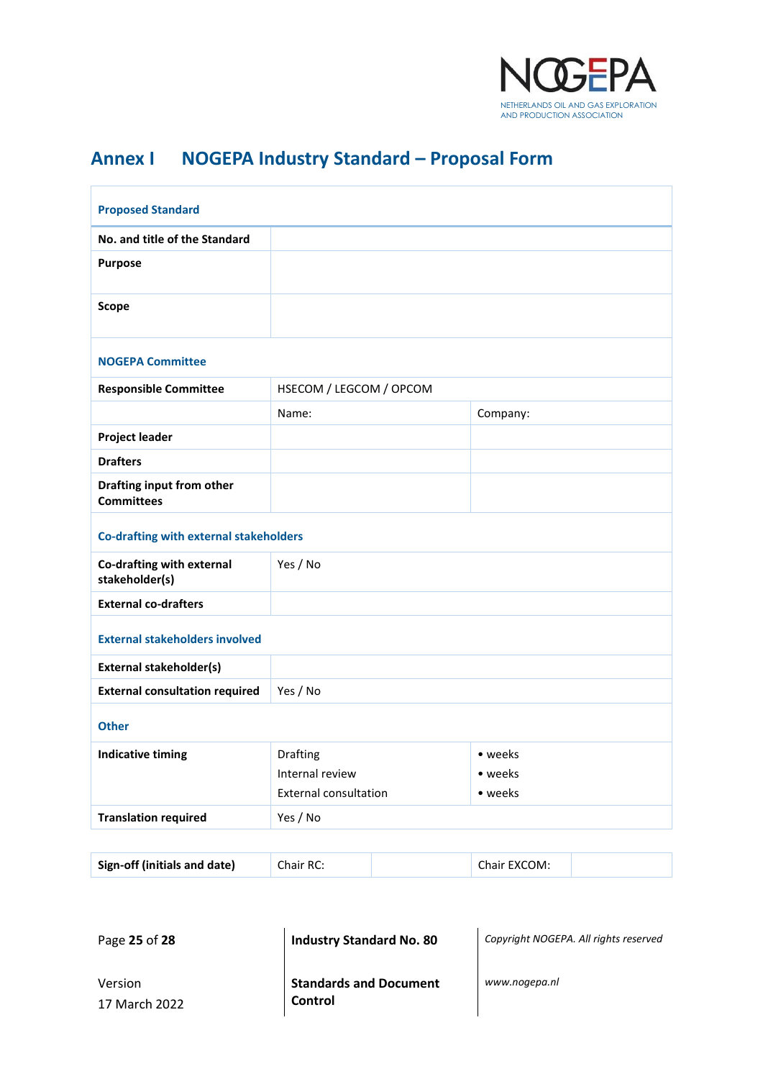

## <span id="page-24-0"></span>**Annex I NOGEPA Industry Standard – Proposal Form**

| <b>Proposed Standard</b>                       |                              |          |  |  |
|------------------------------------------------|------------------------------|----------|--|--|
| No. and title of the Standard                  |                              |          |  |  |
| <b>Purpose</b>                                 |                              |          |  |  |
| <b>Scope</b>                                   |                              |          |  |  |
| <b>NOGEPA Committee</b>                        |                              |          |  |  |
| <b>Responsible Committee</b>                   | HSECOM / LEGCOM / OPCOM      |          |  |  |
|                                                | Name:                        | Company: |  |  |
| <b>Project leader</b>                          |                              |          |  |  |
| <b>Drafters</b>                                |                              |          |  |  |
| Drafting input from other<br><b>Committees</b> |                              |          |  |  |
| Co-drafting with external stakeholders         |                              |          |  |  |
| Co-drafting with external<br>stakeholder(s)    | Yes / No                     |          |  |  |
| <b>External co-drafters</b>                    |                              |          |  |  |
| <b>External stakeholders involved</b>          |                              |          |  |  |
| <b>External stakeholder(s)</b>                 |                              |          |  |  |
| <b>External consultation required</b>          | Yes / No                     |          |  |  |
| <b>Other</b>                                   |                              |          |  |  |
| <b>Indicative timing</b>                       | Drafting                     | • weeks  |  |  |
|                                                | Internal review              | • weeks  |  |  |
|                                                | <b>External consultation</b> | • weeks  |  |  |
| <b>Translation required</b>                    | Yes / No                     |          |  |  |
|                                                |                              |          |  |  |
|                                                |                              |          |  |  |

| Sign-off (initials and date) | Chair RC: | Chair EXCOM: |  |
|------------------------------|-----------|--------------|--|
|                              |           |              |  |

Page **25** of **28 Industry Standard No. 80** *Copyright NOGEPA. All rights reserved*

Version 17 March 2022 **Standards and Document Control**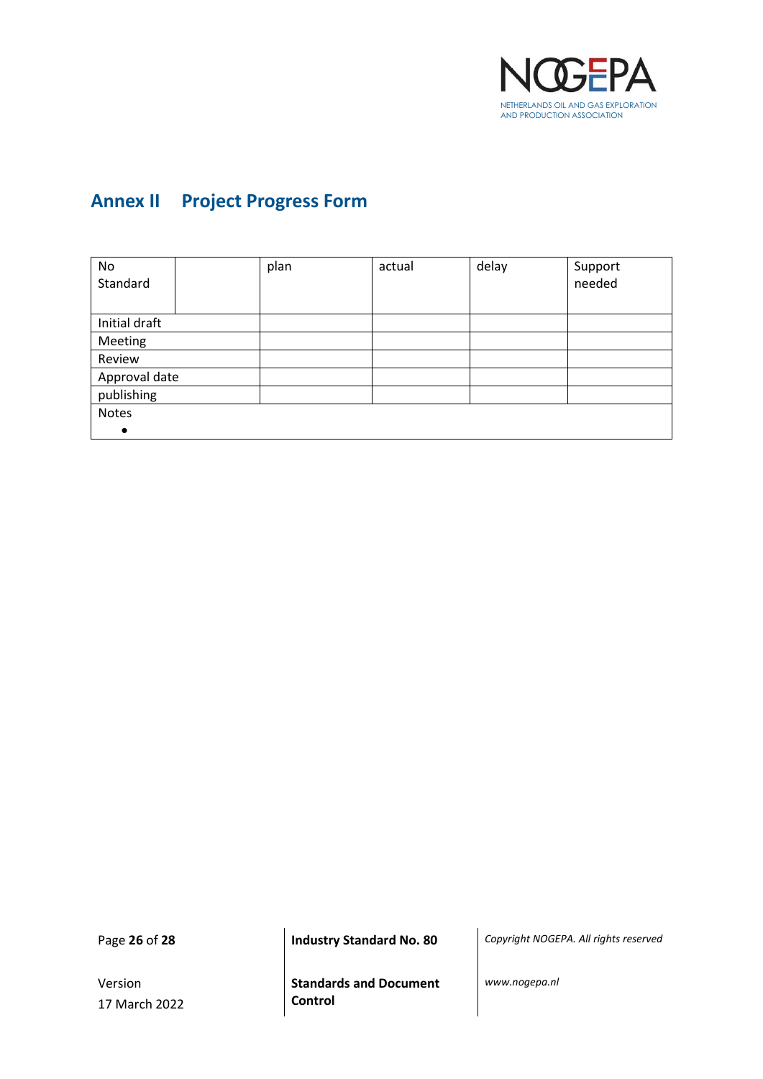

## <span id="page-25-0"></span>**Annex II Project Progress Form**

| No            |  | plan | actual | delay | Support |
|---------------|--|------|--------|-------|---------|
| Standard      |  |      |        |       | needed  |
|               |  |      |        |       |         |
| Initial draft |  |      |        |       |         |
| Meeting       |  |      |        |       |         |
| Review        |  |      |        |       |         |
| Approval date |  |      |        |       |         |
| publishing    |  |      |        |       |         |
| <b>Notes</b>  |  |      |        |       |         |
| $\bullet$     |  |      |        |       |         |

Version 17 March 2022

Page **26** of **28 Industry Standard No. 80** *Copyright NOGEPA. All rights reserved*

**Standards and Document Control**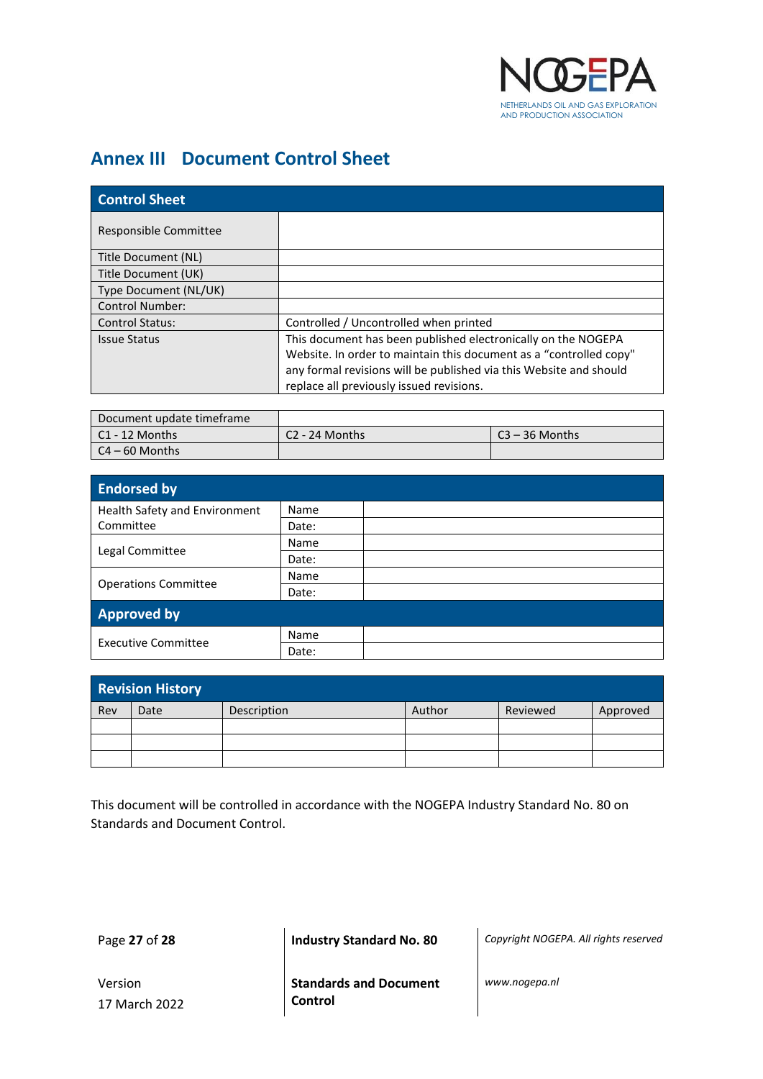

## <span id="page-26-0"></span>**Annex III Document Control Sheet**

| <b>Control Sheet</b>   |                                                                    |
|------------------------|--------------------------------------------------------------------|
| Responsible Committee  |                                                                    |
| Title Document (NL)    |                                                                    |
| Title Document (UK)    |                                                                    |
| Type Document (NL/UK)  |                                                                    |
| <b>Control Number:</b> |                                                                    |
| <b>Control Status:</b> | Controlled / Uncontrolled when printed                             |
| <b>Issue Status</b>    | This document has been published electronically on the NOGEPA      |
|                        | Website. In order to maintain this document as a "controlled copy" |
|                        | any formal revisions will be published via this Website and should |
|                        | replace all previously issued revisions.                           |

| Document update timeframe |                  |                  |
|---------------------------|------------------|------------------|
| l C1 - 12 Months          | $C2 - 24$ Months | $C3 - 36$ Months |
| l C4 – 60 Months          |                  |                  |

| <b>Endorsed by</b>            |       |  |
|-------------------------------|-------|--|
| Health Safety and Environment | Name  |  |
| Committee                     | Date: |  |
|                               | Name  |  |
| Legal Committee               | Date: |  |
|                               | Name  |  |
| <b>Operations Committee</b>   | Date: |  |
| <b>Approved by</b>            |       |  |
| <b>Executive Committee</b>    | Name  |  |
|                               | Date: |  |

| <b>Revision History</b> |      |             |        |          |          |
|-------------------------|------|-------------|--------|----------|----------|
| Rev                     | Date | Description | Author | Reviewed | Approved |
|                         |      |             |        |          |          |
|                         |      |             |        |          |          |
|                         |      |             |        |          |          |

This document will be controlled in accordance with the NOGEPA Industry Standard No. 80 on Standards and Document Control.

Page **27** of **28 Industry Standard No. 80** *Copyright NOGEPA. All rights reserved*

Version 17 March 2022 **Standards and Document Control**